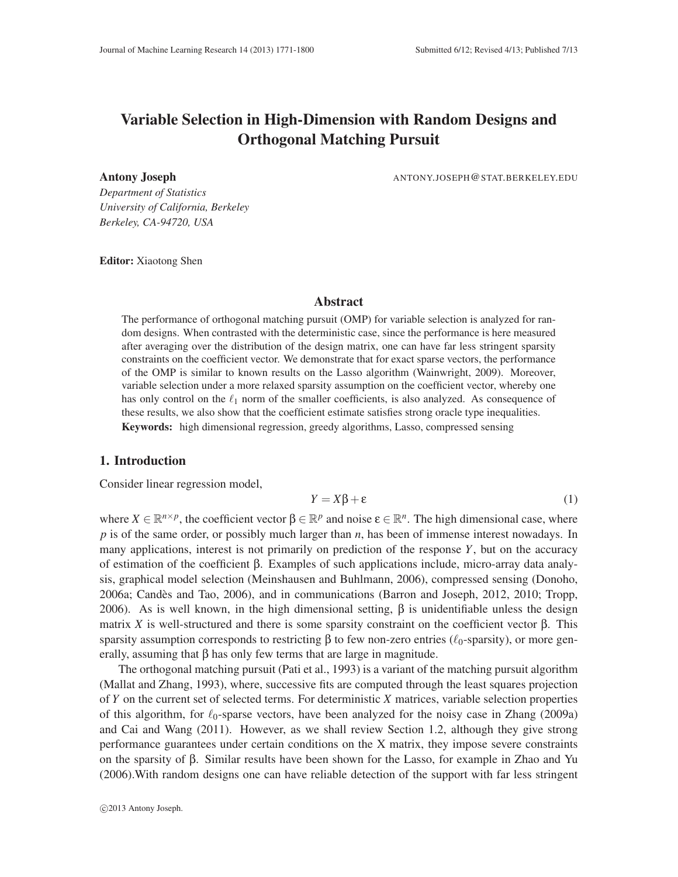# Variable Selection in High-Dimension with Random Designs and Orthogonal Matching Pursuit

Antony Joseph ANTONY.JOSEPH@STAT.BERKELEY.EDU

*Department of Statistics University of California, Berkeley Berkeley, CA-94720, USA*

Editor: Xiaotong Shen

## Abstract

The performance of orthogonal matching pursuit (OMP) for variable selection is analyzed for random designs. When contrasted with the deterministic case, since the performance is here measured after averaging over the distribution of the design matrix, one can have far less stringent sparsity constraints on the coefficient vector. We demonstrate that for exact sparse vectors, the performance of the OMP is similar to known results on the Lasso algorithm (Wainwright, 2009). Moreover, variable selection under a more relaxed sparsity assumption on the coefficient vector, whereby one has only control on the  $\ell_1$  norm of the smaller coefficients, is also analyzed. As consequence of these results, we also show that the coefficient estimate satisfies strong oracle type inequalities. Keywords: high dimensional regression, greedy algorithms, Lasso, compressed sensing

## 1. Introduction

Consider linear regression model,

$$
Y = X\beta + \varepsilon \tag{1}
$$

where  $X \in \mathbb{R}^{n \times p}$ , the coefficient vector  $\beta \in \mathbb{R}^p$  and noise  $\varepsilon \in \mathbb{R}^n$ . The high dimensional case, where *p* is of the same order, or possibly much larger than *n*, has been of immense interest nowadays. In many applications, interest is not primarily on prediction of the response *Y*, but on the accuracy of estimation of the coefficient β. Examples of such applications include, micro-array data analysis, graphical model selection (Meinshausen and Buhlmann, 2006), compressed sensing (Donoho,  $2006a$ ; Candès and Tao,  $2006$ ), and in communications (Barron and Joseph,  $2012$ ,  $2010$ ; Tropp, 2006). As is well known, in the high dimensional setting,  $β$  is unidentifiable unless the design matrix *X* is well-structured and there is some sparsity constraint on the coefficient vector β. This sparsity assumption corresponds to restricting  $\beta$  to few non-zero entries ( $\ell_0$ -sparsity), or more generally, assuming that  $\beta$  has only few terms that are large in magnitude.

The orthogonal matching pursuit (Pati et al., 1993) is a variant of the matching pursuit algorithm (Mallat and Zhang, 1993), where, successive fits are computed through the least squares projection of *Y* on the current set of selected terms. For deterministic *X* matrices, variable selection properties of this algorithm, for  $\ell_0$ -sparse vectors, have been analyzed for the noisy case in Zhang (2009a) and Cai and Wang (2011). However, as we shall review Section 1.2, although they give strong performance guarantees under certain conditions on the X matrix, they impose severe constraints on the sparsity of β. Similar results have been shown for the Lasso, for example in Zhao and Yu (2006).With random designs one can have reliable detection of the support with far less stringent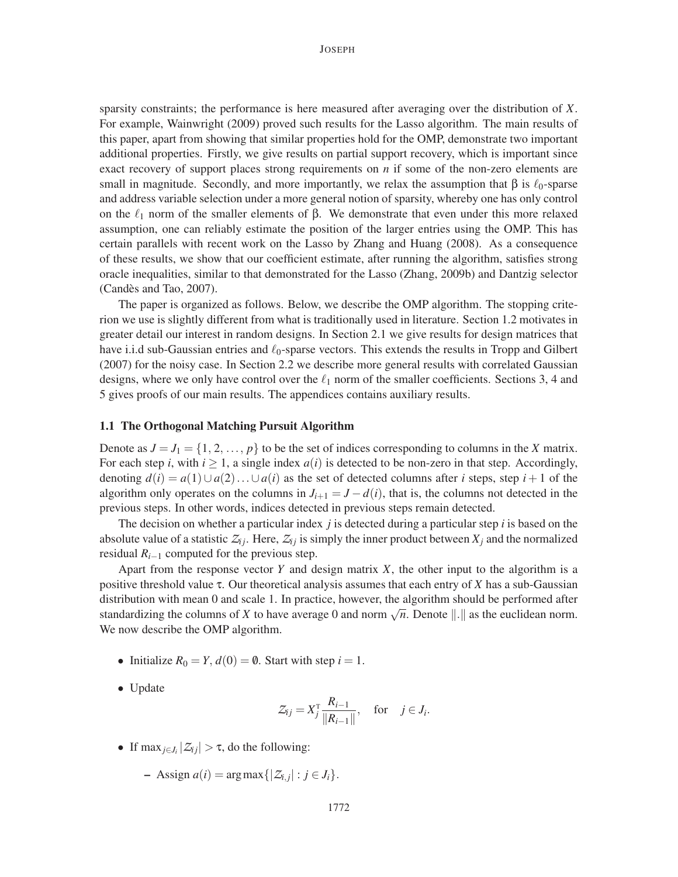sparsity constraints; the performance is here measured after averaging over the distribution of *X*. For example, Wainwright (2009) proved such results for the Lasso algorithm. The main results of this paper, apart from showing that similar properties hold for the OMP, demonstrate two important additional properties. Firstly, we give results on partial support recovery, which is important since exact recovery of support places strong requirements on *n* if some of the non-zero elements are small in magnitude. Secondly, and more importantly, we relax the assumption that  $\beta$  is  $\ell_0$ -sparse and address variable selection under a more general notion of sparsity, whereby one has only control on the  $\ell_1$  norm of the smaller elements of  $\beta$ . We demonstrate that even under this more relaxed assumption, one can reliably estimate the position of the larger entries using the OMP. This has certain parallels with recent work on the Lasso by Zhang and Huang (2008). As a consequence of these results, we show that our coefficient estimate, after running the algorithm, satisfies strong oracle inequalities, similar to that demonstrated for the Lasso (Zhang, 2009b) and Dantzig selector (Candès and Tao, 2007).

The paper is organized as follows. Below, we describe the OMP algorithm. The stopping criterion we use is slightly different from what is traditionally used in literature. Section 1.2 motivates in greater detail our interest in random designs. In Section 2.1 we give results for design matrices that have i.i.d sub-Gaussian entries and  $\ell_0$ -sparse vectors. This extends the results in Tropp and Gilbert (2007) for the noisy case. In Section 2.2 we describe more general results with correlated Gaussian designs, where we only have control over the  $\ell_1$  norm of the smaller coefficients. Sections 3, 4 and 5 gives proofs of our main results. The appendices contains auxiliary results.

#### 1.1 The Orthogonal Matching Pursuit Algorithm

Denote as  $J = J_1 = \{1, 2, ..., p\}$  to be the set of indices corresponding to columns in the *X* matrix. For each step *i*, with  $i \ge 1$ , a single index  $a(i)$  is detected to be non-zero in that step. Accordingly, denoting  $d(i) = a(1) \cup a(2) \dots \cup a(i)$  as the set of detected columns after *i* steps, step  $i + 1$  of the algorithm only operates on the columns in  $J_{i+1} = J - d(i)$ , that is, the columns not detected in the previous steps. In other words, indices detected in previous steps remain detected.

The decision on whether a particular index *j* is detected during a particular step *i* is based on the absolute value of a statistic  $Z_{ij}$ . Here,  $Z_{ij}$  is simply the inner product between  $X_j$  and the normalized residual  $R_{i-1}$  computed for the previous step.

Apart from the response vector  $Y$  and design matrix  $X$ , the other input to the algorithm is a positive threshold value τ. Our theoretical analysis assumes that each entry of *X* has a sub-Gaussian distribution with mean 0 and scale 1. In practice, however, the algorithm should be performed after standardizing the columns of *X* to have average 0 and norm  $\sqrt{n}$ . Denote  $\|\cdot\|$  as the euclidean norm. We now describe the OMP algorithm.

- Initialize  $R_0 = Y$ ,  $d(0) = \emptyset$ . Start with step  $i = 1$ .
- Update

$$
\mathcal{Z}_{ij} = X_j^{\mathrm{T}} \frac{R_{i-1}}{\|R_{i-1}\|}, \quad \text{for} \quad j \in J_i.
$$

- If  $\max_{j \in J_i} |Z_{ij}| > \tau$ , do the following:
	- $-$  Assign  $a(i)$  = arg max { $|Z_{i,j}|$  :  $j \in J_i$  }.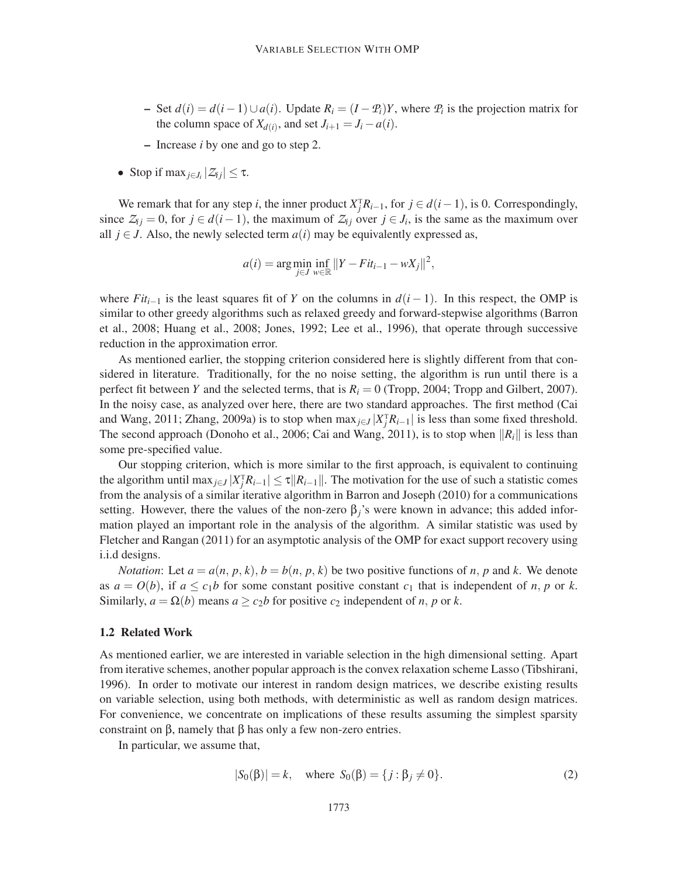- $\rightarrow$  Set *d*(*i*) = *d*(*i* − 1)∪*a*(*i*). Update *R*<sub>*i*</sub> = (*I* − *P*<sub>*i*</sub>)*Y*, where *P*<sub>*i*</sub> is the projection matrix for the column space of  $X_{d(i)}$ , and set  $J_{i+1} = J_i - a(i)$ .
- Increase *i* by one and go to step 2.
- Stop if max<sub>*j*∈*J*<sub>*i*</sub></sub>  $|Z_{ij}| \leq \tau$ .

We remark that for any step *i*, the inner product  $X_j^{\dagger}R_{i-1}$ , for  $j \in d(i-1)$ , is 0. Correspondingly, since  $Z_{ij} = 0$ , for  $j \in d(i-1)$ , the maximum of  $Z_{ij}$  over  $j \in J_i$ , is the same as the maximum over all  $j \in J$ . Also, the newly selected term  $a(i)$  may be equivalently expressed as,

$$
a(i) = \arg\min_{j \in J} \inf_{w \in \mathbb{R}} ||Y - Fit_{i-1} - wX_j||^2,
$$

where  $Fit_{i-1}$  is the least squares fit of *Y* on the columns in  $d(i-1)$ . In this respect, the OMP is similar to other greedy algorithms such as relaxed greedy and forward-stepwise algorithms (Barron et al., 2008; Huang et al., 2008; Jones, 1992; Lee et al., 1996), that operate through successive reduction in the approximation error.

As mentioned earlier, the stopping criterion considered here is slightly different from that considered in literature. Traditionally, for the no noise setting, the algorithm is run until there is a perfect fit between *Y* and the selected terms, that is  $R_i = 0$  (Tropp, 2004; Tropp and Gilbert, 2007). In the noisy case, as analyzed over here, there are two standard approaches. The first method (Cai and Wang, 2011; Zhang, 2009a) is to stop when  $\max_{j \in J} |X_j^T R_{i-1}|$  is less than some fixed threshold. The second approach (Donoho et al., 2006; Cai and Wang, 2011), is to stop when  $\|R_i\|$  is less than some pre-specified value.

Our stopping criterion, which is more similar to the first approach, is equivalent to continuing the algorithm until max<sub>*j*∈*J*</sub>  $|X_j^{\text{T}} R_{i-1}| \le \tau ||R_{i-1}||$ . The motivation for the use of such a statistic comes from the analysis of a similar iterative algorithm in Barron and Joseph (2010) for a communications setting. However, there the values of the non-zero  $\beta_i$ 's were known in advance; this added information played an important role in the analysis of the algorithm. A similar statistic was used by Fletcher and Rangan (2011) for an asymptotic analysis of the OMP for exact support recovery using i.i.d designs.

*Notation*: Let  $a = a(n, p, k)$ ,  $b = b(n, p, k)$  be two positive functions of *n*, *p* and *k*. We denote as  $a = O(b)$ , if  $a \leq c_1b$  for some constant positive constant  $c_1$  that is independent of *n*, *p* or *k*. Similarly,  $a = \Omega(b)$  means  $a \ge c_2b$  for positive  $c_2$  independent of *n*, *p* or *k*.

#### 1.2 Related Work

As mentioned earlier, we are interested in variable selection in the high dimensional setting. Apart from iterative schemes, another popular approach is the convex relaxation scheme Lasso (Tibshirani, 1996). In order to motivate our interest in random design matrices, we describe existing results on variable selection, using both methods, with deterministic as well as random design matrices. For convenience, we concentrate on implications of these results assuming the simplest sparsity constraint on β, namely that β has only a few non-zero entries.

In particular, we assume that,

$$
|S_0(\beta)| = k
$$
, where  $S_0(\beta) = \{j : \beta_j \neq 0\}$ . (2)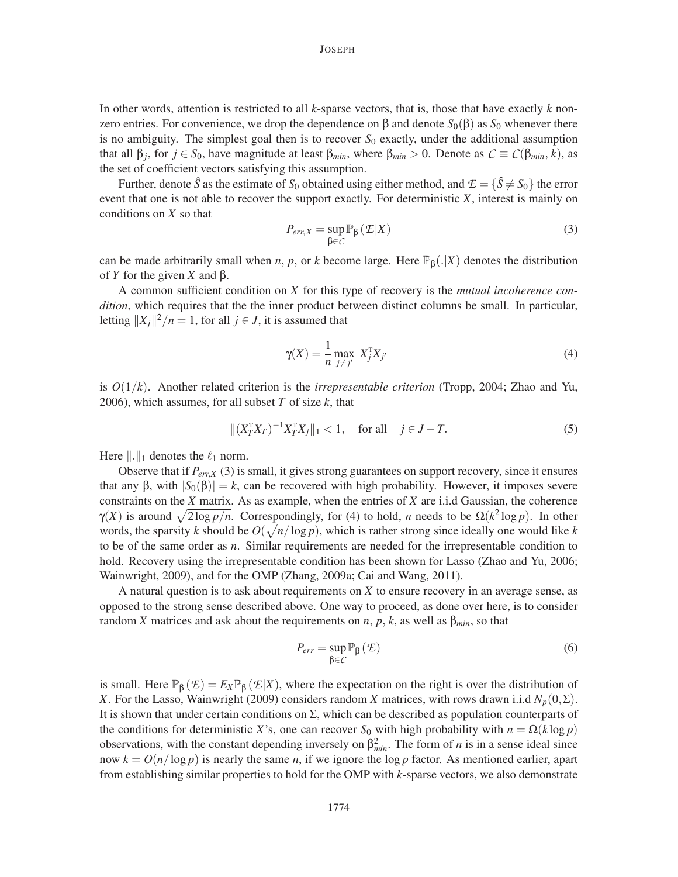In other words, attention is restricted to all *k*-sparse vectors, that is, those that have exactly *k* nonzero entries. For convenience, we drop the dependence on β and denote  $S_0(\beta)$  as  $S_0$  whenever there is no ambiguity. The simplest goal then is to recover  $S_0$  exactly, under the additional assumption that all  $\beta_j$ , for  $j \in S_0$ , have magnitude at least  $\beta_{min}$ , where  $\beta_{min} > 0$ . Denote as  $C \equiv C(\beta_{min}, k)$ , as the set of coefficient vectors satisfying this assumption.

Further, denote  $\hat{S}$  as the estimate of  $S_0$  obtained using either method, and  $\mathcal{E} = {\hat{S} \neq S_0}$  the error event that one is not able to recover the support exactly. For deterministic *X*, interest is mainly on conditions on *X* so that

$$
P_{err,X} = \sup_{\beta \in C} \mathbb{P}_{\beta} \left( \mathcal{L} | X \right) \tag{3}
$$

can be made arbitrarily small when *n*, *p*, or *k* become large. Here  $\mathbb{P}_{\beta}(.|X)$  denotes the distribution of *Y* for the given *X* and β.

A common sufficient condition on *X* for this type of recovery is the *mutual incoherence condition*, which requires that the the inner product between distinct columns be small. In particular, letting  $||X_j||^2/n = 1$ , for all  $j \in J$ , it is assumed that

$$
\gamma(X) = \frac{1}{n} \max_{j \neq j'} \left| X_j^{\mathrm{T}} X_{j'} \right| \tag{4}
$$

is *O*(1/*k*). Another related criterion is the *irrepresentable criterion* (Tropp, 2004; Zhao and Yu, 2006), which assumes, for all subset *T* of size *k*, that

$$
\|(X_T^{\mathrm{T}} X_T)^{-1} X_T^{\mathrm{T}} X_j\|_1 < 1, \quad \text{for all} \quad j \in J - T. \tag{5}
$$

Here  $\|\cdot\|_1$  denotes the  $\ell_1$  norm.

Observe that if *Perr*,*<sup>X</sup>* (3) is small, it gives strong guarantees on support recovery, since it ensures that any β, with  $|S_0(\beta)| = k$ , can be recovered with high probability. However, it imposes severe constraints on the *X* matrix. As as example, when the entries of *X* are i.i.d Gaussian, the coherence  $γ(X)$  is around  $\sqrt{2 \log p/n}$ . Correspondingly, for (4) to hold, *n* needs to be  $Ω(k^2 \log p)$ . In other words, the sparsity *k* should be  $O(\sqrt{n/\log p})$ , which is rather strong since ideally one would like *k* to be of the same order as *n*. Similar requirements are needed for the irrepresentable condition to hold. Recovery using the irrepresentable condition has been shown for Lasso (Zhao and Yu, 2006; Wainwright, 2009), and for the OMP (Zhang, 2009a; Cai and Wang, 2011).

A natural question is to ask about requirements on *X* to ensure recovery in an average sense, as opposed to the strong sense described above. One way to proceed, as done over here, is to consider random *X* matrices and ask about the requirements on *n*, *p*, *k*, as well as β*min*, so that

$$
P_{err} = \sup_{\beta \in \mathcal{C}} \mathbb{P}_{\beta} \left( \mathcal{E} \right) \tag{6}
$$

is small. Here  $\mathbb{P}_{\beta}(\mathcal{E}) = E_X \mathbb{P}_{\beta}(\mathcal{E}|X)$ , where the expectation on the right is over the distribution of *X*. For the Lasso, Wainwright (2009) considers random *X* matrices, with rows drawn i.i.d  $N_p(0, \Sigma)$ . It is shown that under certain conditions on  $\Sigma$ , which can be described as population counterparts of the conditions for deterministic *X*'s, one can recover *S*<sub>0</sub> with high probability with  $n = \Omega(k \log p)$ observations, with the constant depending inversely on  $\beta_{min}^2$ . The form of *n* is in a sense ideal since now  $k = O(n/\log p)$  is nearly the same *n*, if we ignore the log *p* factor. As mentioned earlier, apart from establishing similar properties to hold for the OMP with *k*-sparse vectors, we also demonstrate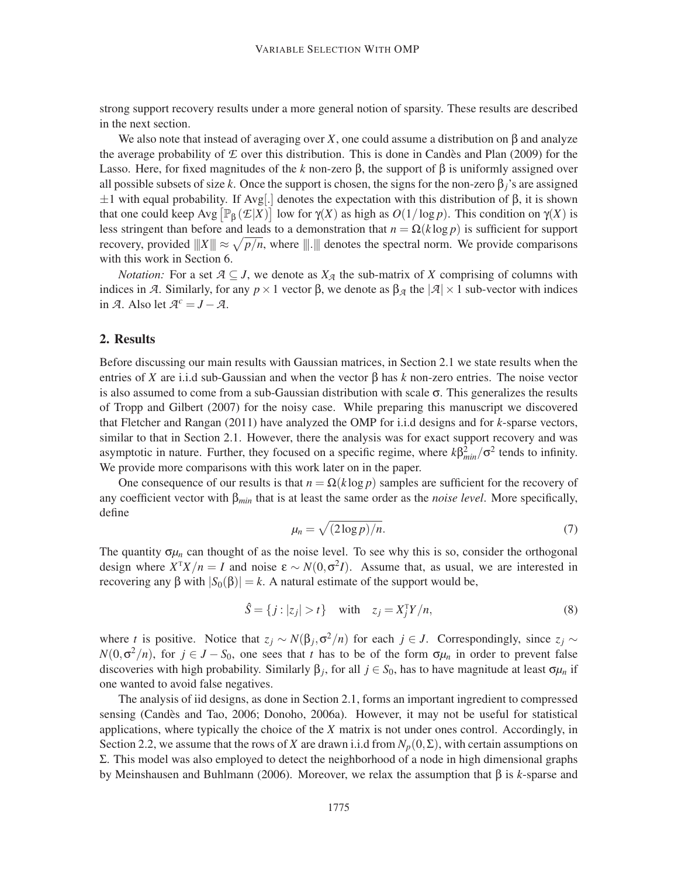strong support recovery results under a more general notion of sparsity. These results are described in the next section.

We also note that instead of averaging over *X*, one could assume a distribution on  $\beta$  and analyze the average probability of  $E$  over this distribution. This is done in Candès and Plan (2009) for the Lasso. Here, for fixed magnitudes of the *k* non-zero β, the support of β is uniformly assigned over all possible subsets of size *k*. Once the support is chosen, the signs for the non-zero  $\beta$ <sup>*j*</sup>'s are assigned  $\pm 1$  with equal probability. If Avg[.] denotes the expectation with this distribution of  $\beta$ , it is shown that one could keep  $Avg\left[\mathbb{P}_{\beta}(\mathcal{E}|X)\right]$  low for  $\gamma(X)$  as high as  $O(1/\log p)$ . This condition on  $\gamma(X)$  is less stringent than before and leads to a demonstration that  $n = \Omega(k \log p)$  is sufficient for support recovery, provided  $|||X||| \approx \sqrt{p/n}$ , where  $|||.|||$  denotes the spectral norm. We provide comparisons with this work in Section 6.

*Notation:* For a set  $A \subseteq J$ , we denote as  $X_A$  the sub-matrix of *X* comprising of columns with indices in *A*. Similarly, for any  $p \times 1$  vector β, we denote as  $β<sub>A</sub>$  the  $|A| \times 1$  sub-vector with indices in *A*. Also let  $A^c = J - A$ .

## 2. Results

Before discussing our main results with Gaussian matrices, in Section 2.1 we state results when the entries of *X* are i.i.d sub-Gaussian and when the vector β has *k* non-zero entries. The noise vector is also assumed to come from a sub-Gaussian distribution with scale  $\sigma$ . This generalizes the results of Tropp and Gilbert (2007) for the noisy case. While preparing this manuscript we discovered that Fletcher and Rangan (2011) have analyzed the OMP for i.i.d designs and for *k*-sparse vectors, similar to that in Section 2.1. However, there the analysis was for exact support recovery and was asymptotic in nature. Further, they focused on a specific regime, where  $k\beta_{min}^2/\sigma^2$  tends to infinity. We provide more comparisons with this work later on in the paper.

One consequence of our results is that  $n = \Omega(k \log p)$  samples are sufficient for the recovery of any coefficient vector with β*min* that is at least the same order as the *noise level*. More specifically, define

$$
\mu_n = \sqrt{(2\log p)/n}.\tag{7}
$$

The quantity  $\sigma_{\mu}$  can thought of as the noise level. To see why this is so, consider the orthogonal design where  $X^T X/n = I$  and noise  $\varepsilon \sim N(0, \sigma^2 I)$ . Assume that, as usual, we are interested in recovering any β with  $|S_0(\beta)| = k$ . A natural estimate of the support would be,

$$
\hat{S} = \{j : |z_j| > t\} \quad \text{with} \quad z_j = X_j^{\mathrm{T}} Y/n,
$$
\n
$$
(8)
$$

where *t* is positive. Notice that  $z_j \sim N(\beta_j, \sigma^2/n)$  for each  $j \in J$ . Correspondingly, since  $z_j \sim$  $N(0, \sigma^2/n)$ , for  $j \in J - S_0$ , one sees that *t* has to be of the form  $\sigma \mu_n$  in order to prevent false discoveries with high probability. Similarly  $\beta_j$ , for all  $j \in S_0$ , has to have magnitude at least  $\sigma \mu_n$  if one wanted to avoid false negatives.

The analysis of iid designs, as done in Section 2.1, forms an important ingredient to compressed sensing (Candès and Tao, 2006; Donoho, 2006a). However, it may not be useful for statistical applications, where typically the choice of the *X* matrix is not under ones control. Accordingly, in Section 2.2, we assume that the rows of *X* are drawn i.i.d from  $N_p(0, \Sigma)$ , with certain assumptions on  $Σ.$  This model was also employed to detect the neighborhood of a node in high dimensional graphs by Meinshausen and Buhlmann (2006). Moreover, we relax the assumption that β is *k*-sparse and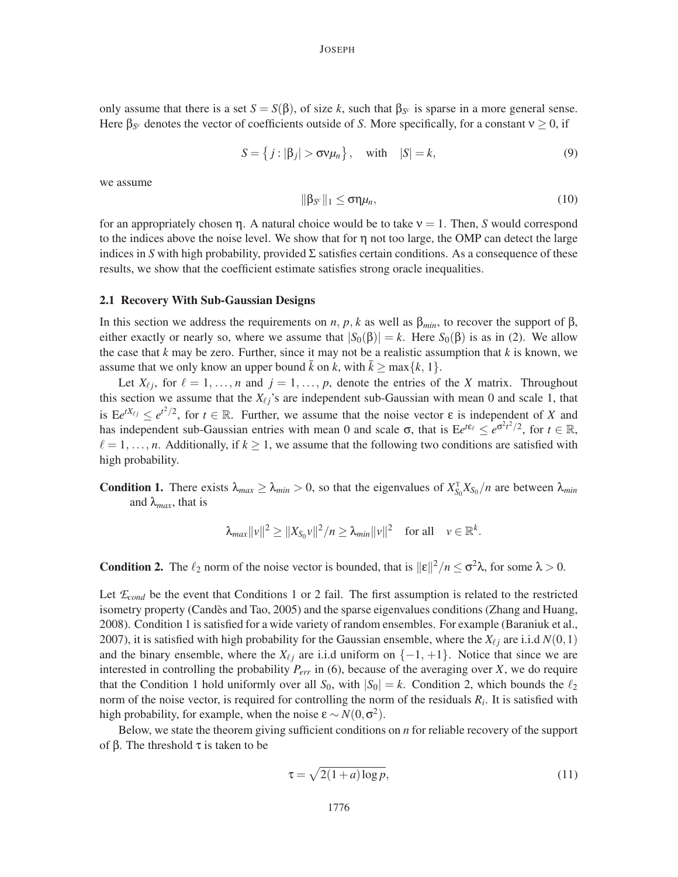only assume that there is a set  $S = S(\beta)$ , of size k, such that  $\beta_{S^c}$  is sparse in a more general sense. Here  $\beta_{S^c}$  denotes the vector of coefficients outside of *S*. More specifically, for a constant  $v \ge 0$ , if

$$
S = \{j : |\beta_j| > \sigma \nu \mu_n\}, \quad \text{with} \quad |S| = k,
$$
\n<sup>(9)</sup>

we assume

$$
\|\beta_{S^c}\|_1 \leq \sigma \eta \mu_n,\tag{10}
$$

for an appropriately chosen η. A natural choice would be to take ν = 1. Then, *S* would correspond to the indices above the noise level. We show that for  $\eta$  not too large, the OMP can detect the large indices in *S* with high probability, provided  $\Sigma$  satisfies certain conditions. As a consequence of these results, we show that the coefficient estimate satisfies strong oracle inequalities.

#### 2.1 Recovery With Sub-Gaussian Designs

In this section we address the requirements on *n*, *p*, *k* as well as  $β<sub>min</sub>$ , to recover the support of  $β$ , either exactly or nearly so, where we assume that  $|S_0(\beta)| = k$ . Here  $S_0(\beta)$  is as in (2). We allow the case that  $k$  may be zero. Further, since it may not be a realistic assumption that  $k$  is known, we assume that we only know an upper bound  $\bar{k}$  on  $k$ , with  $\bar{k} \ge \max\{k, 1\}$ .

Let  $X_{\ell j}$ , for  $\ell = 1, \ldots, n$  and  $j = 1, \ldots, p$ , denote the entries of the *X* matrix. Throughout this section we assume that the  $X_{\ell j}$ 's are independent sub-Gaussian with mean 0 and scale 1, that is  $Ee^{tX_{\ell j}} \leq e^{t^2/2}$ , for  $t \in \mathbb{R}$ . Further, we assume that the noise vector  $\varepsilon$  is independent of *X* and has independent sub-Gaussian entries with mean 0 and scale  $\sigma$ , that is  $E e^{t\epsilon_\ell} \leq e^{\sigma^2 t^2/2}$ , for  $t \in \mathbb{R}$ ,  $\ell = 1, \ldots, n$ . Additionally, if  $k \ge 1$ , we assume that the following two conditions are satisfied with high probability.

**Condition 1.** There exists  $\lambda_{max} \ge \lambda_{min} > 0$ , so that the eigenvalues of  $X_{S_0}^T X_{S_0}/n$  are between  $\lambda_{min}$ and  $\lambda_{max}$ , that is

$$
\lambda_{max} ||v||^2 \ge ||X_{S_0}v||^2/n \ge \lambda_{min} ||v||^2 \quad \text{for all} \quad v \in \mathbb{R}^k.
$$

**Condition 2.** The  $\ell_2$  norm of the noise vector is bounded, that is  $||\epsilon||^2/n \le \sigma^2 \lambda$ , for some  $\lambda > 0$ .

Let  $\mathcal{E}_{cond}$  be the event that Conditions 1 or 2 fail. The first assumption is related to the restricted isometry property (Candès and Tao, 2005) and the sparse eigenvalues conditions (Zhang and Huang, 2008). Condition 1 is satisfied for a wide variety of random ensembles. For example (Baraniuk et al., 2007), it is satisfied with high probability for the Gaussian ensemble, where the  $X_{\ell}$  are i.i.d  $N(0,1)$ and the binary ensemble, where the  $X_{\ell}$  are i.i.d uniform on  $\{-1, +1\}$ . Notice that since we are interested in controlling the probability *Perr* in (6), because of the averaging over *X*, we do require that the Condition 1 hold uniformly over all  $S_0$ , with  $|S_0| = k$ . Condition 2, which bounds the  $\ell_2$ norm of the noise vector, is required for controlling the norm of the residuals *R<sup>i</sup>* . It is satisfied with high probability, for example, when the noise  $\varepsilon \sim N(0, \sigma^2)$ .

Below, we state the theorem giving sufficient conditions on *n* for reliable recovery of the support of β. The threshold  $\tau$  is taken to be

$$
\tau = \sqrt{2(1+a)\log p},\tag{11}
$$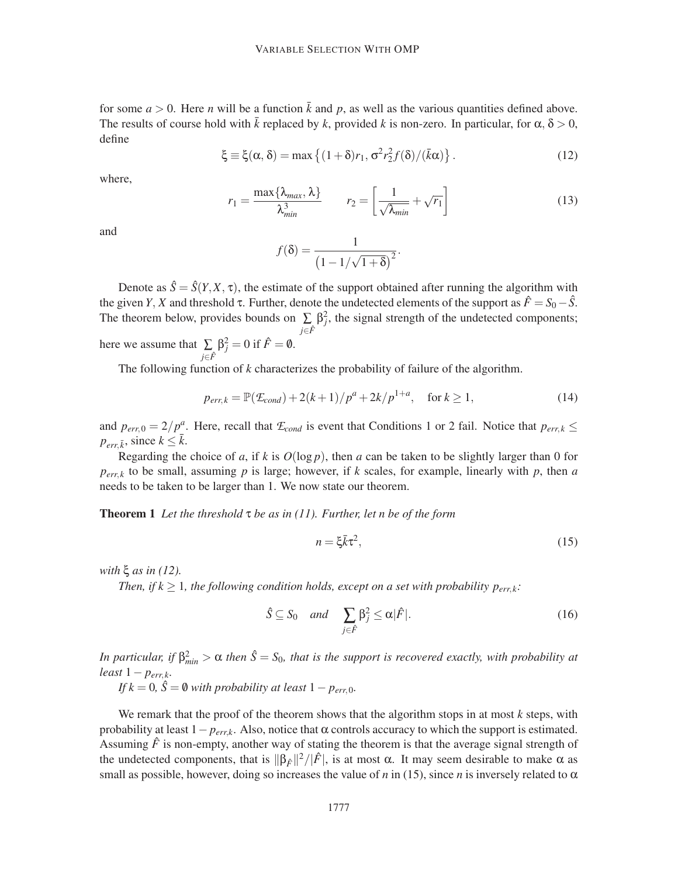for some  $a > 0$ . Here *n* will be a function  $\bar{k}$  and *p*, as well as the various quantities defined above. The results of course hold with  $\bar{k}$  replaced by  $k$ , provided  $k$  is non-zero. In particular, for  $\alpha, \delta > 0$ , define

$$
\xi \equiv \xi(\alpha, \delta) = \max \left\{ (1 + \delta) r_1, \sigma^2 r_2^2 f(\delta) / (\bar{k}\alpha) \right\}. \tag{12}
$$

where,

$$
r_1 = \frac{\max\{\lambda_{max}, \lambda\}}{\lambda_{min}^3} \qquad r_2 = \left[\frac{1}{\sqrt{\lambda_{min}}} + \sqrt{r_1}\right]
$$
(13)

and

$$
f(\delta) = \frac{1}{\left(1 - 1/\sqrt{1 + \delta}\right)^2}.
$$

Denote as  $\hat{S} = \hat{S}(Y, X, \tau)$ , the estimate of the support obtained after running the algorithm with the given *Y*, *X* and threshold τ. Further, denote the undetected elements of the support as  $\hat{F} = S_0 - \hat{S}$ . The theorem below, provides bounds on  $\sum_i \beta_j^2$ , the signal strength of the undetected components; *<sup>j</sup>*∈*F*<sup>ˆ</sup> here we assume that  $\Sigma$  $\beta_j^2 = 0$  if  $\hat{F} = \emptyset$ .

*<sup>j</sup>*∈*F*<sup>ˆ</sup> The following function of *k* characterizes the probability of failure of the algorithm.

$$
p_{err,k} = \mathbb{P}(\mathcal{E}_{cond}) + 2(k+1)/p^{a} + 2k/p^{1+a}, \quad \text{for } k \ge 1,
$$
 (14)

and  $p_{err,0} = 2/p_{\perp}^a$ . Here, recall that  $\mathcal{L}_{cond}$  is event that Conditions 1 or 2 fail. Notice that  $p_{err,k} \le$  $p_{err, \bar{k}}$ , since  $k \leq \bar{k}$ .

Regarding the choice of *a*, if *k* is  $O(\log p)$ , then *a* can be taken to be slightly larger than 0 for  $p_{err,k}$  to be small, assuming *p* is large; however, if *k* scales, for example, linearly with *p*, then *a* needs to be taken to be larger than 1. We now state our theorem.

Theorem 1 *Let the threshold* τ *be as in (11). Further, let n be of the form*

$$
n = \xi \bar{k} \tau^2,\tag{15}
$$

*with* ξ *as in (12).*

*Then, if*  $k \geq 1$ *, the following condition holds, except on a set with probability*  $p_{err,k}$ *<i>:* 

$$
\hat{S} \subseteq S_0 \quad and \quad \sum_{j \in \hat{F}} \beta_j^2 \le \alpha |\hat{F}|. \tag{16}
$$

*In particular, if*  $\beta_{min}^2 > \alpha$  *then*  $\hat{S} = S_0$ *, that is the support is recovered exactly, with probability at least* 1− *perr*, *<sup>k</sup>.*

*If*  $k = 0$ ,  $\hat{S} = \emptyset$  *with probability at least*  $1 - p_{err,0}$ *.* 

We remark that the proof of the theorem shows that the algorithm stops in at most *k* steps, with probability at least  $1-p_{errk}$ . Also, notice that  $\alpha$  controls accuracy to which the support is estimated. Assuming  $\hat{F}$  is non-empty, another way of stating the theorem is that the average signal strength of the undetected components, that is  $\|\beta_{\hat{F}}\|^2/|\hat{F}|$ , is at most  $\alpha$ . It may seem desirable to make  $\alpha$  as small as possible, however, doing so increases the value of *n* in (15), since *n* is inversely related to  $\alpha$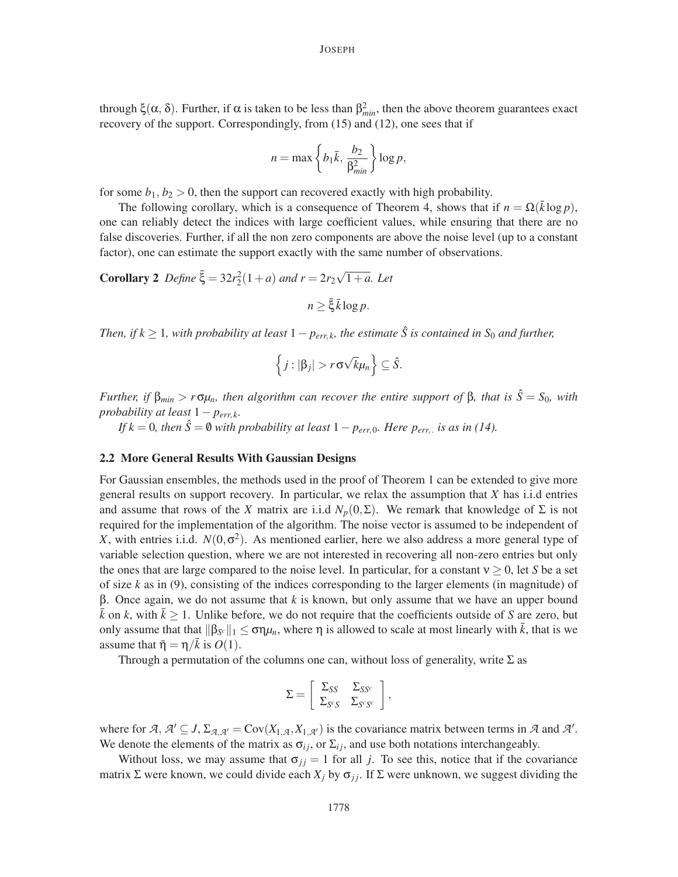through  $\xi(\alpha, \delta)$ . Further, if  $\alpha$  is taken to be less than  $\beta_{min}^2$ , then the above theorem guarantees exact recovery of the support. Correspondingly, from (15) and (12), one sees that if

$$
n = \max\left\{b_1\bar{k}, \frac{b_2}{\beta_{min}^2}\right\} \log p,
$$

for some  $b_1, b_2 > 0$ , then the support can recovered exactly with high probability.

The following corollary, which is a consequence of Theorem 4, shows that if  $n = \Omega(\bar{k} \log p)$ , one can reliably detect the indices with large coefficient values, while ensuring that there are no false discoveries. Further, if all the non zero components are above the noise level (up to a constant factor), one can estimate the support exactly with the same number of observations.

**Corollary 2** Define  $\bar{\xi} = 32r_2^2(1+a)$  and  $r = 2r_2\sqrt{1+a}$ . Let

 $n > \bar{\xi} \bar{k} \log p$ .

*Then, if*  $k \geq 1$ *, with probability at least*  $1 - p_{err,k}$ *, the estimate*  $\hat{S}$  *is contained in*  $S_0$  *and further,* 

$$
\left\{j:|\beta_j|>r\sigma\sqrt{k}\mu_n\right\}\subseteq\hat{S}.
$$

*Further, if*  $β_{min} > rσμ_n$ *, then algorithm can recover the entire support of*  $β$ *, that is*  $\hat{S} = S_0$ *, with probability at least*  $1 - p_{err,k}$ *.* 

*If*  $k = 0$ , then  $\hat{S} = \emptyset$  *with probability at least*  $1 - p_{err,0}$ *. Here*  $p_{err,0}$  *is as in (14).* 

## 2.2 More General Results With Gaussian Designs

For Gaussian ensembles, the methods used in the proof of Theorem 1 can be extended to give more general results on support recovery. In particular, we relax the assumption that *X* has i.i.d entries and assume that rows of the *X* matrix are i.i.d  $N_p(0, \Sigma)$ . We remark that knowledge of  $\Sigma$  is not required for the implementation of the algorithm. The noise vector is assumed to be independent of *X*, with entries i.i.d.  $N(0, \sigma^2)$ . As mentioned earlier, here we also address a more general type of variable selection question, where we are not interested in recovering all non-zero entries but only the ones that are large compared to the noise level. In particular, for a constant  $v \ge 0$ , let *S* be a set of size *k* as in (9), consisting of the indices corresponding to the larger elements (in magnitude) of β. Once again, we do not assume that *k* is known, but only assume that we have an upper bound  $\bar{k}$  on *k*, with  $\bar{k} \geq 1$ . Unlike before, we do not require that the coefficients outside of *S* are zero, but only assume that that  $\|\beta_{S^c}\|_1 \leq \sigma \eta \mu_n$ , where  $\eta$  is allowed to scale at most linearly with  $\bar{k}$ , that is we assume that  $\bar{\eta} = \eta/\bar{k}$  is  $O(1)$ .

Through a permutation of the columns one can, without loss of generality, write  $\Sigma$  as

$$
\Sigma = \left[ \begin{array}{cc} \Sigma_{SS} & \Sigma_{SS^c} \\ \Sigma_{S^cS} & \Sigma_{S^cS^c} \end{array} \right],
$$

where for  $A, A' \subseteq J, \Sigma_{A, A'} = \text{Cov}(X_{1, A}, X_{1, A'})$  is the covariance matrix between terms in  $A$  and  $A'$ . We denote the elements of the matrix as  $\sigma_{ij}$ , or  $\Sigma_{ij}$ , and use both notations interchangeably.

Without loss, we may assume that  $\sigma_{jj} = 1$  for all *j*. To see this, notice that if the covariance matrix  $\Sigma$  were known, we could divide each  $X_j$  by  $\sigma_{jj}$ . If  $\Sigma$  were unknown, we suggest dividing the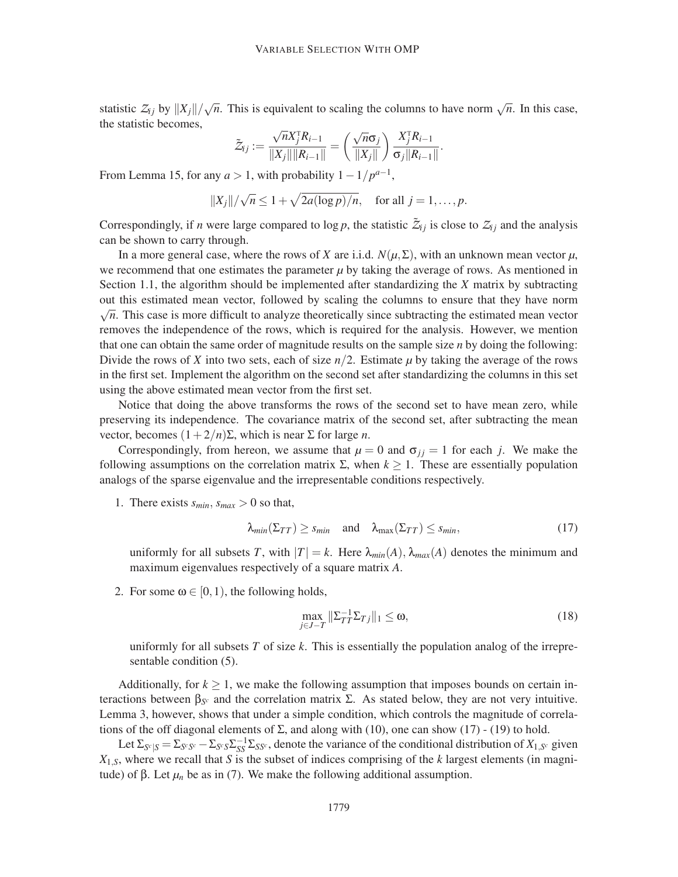statistic  $Z_{ij}$  by  $||X_j||/\sqrt{n}$ . This is equivalent to scaling the columns to have norm  $\sqrt{n}$ . In this case, the statistic becomes,

$$
\tilde{Z}_{ij} := \frac{\sqrt{n}X_j^{\mathrm{T}} R_{i-1}}{\|X_j\| \|R_{i-1}\|} = \left(\frac{\sqrt{n}\sigma_j}{\|X_j\|}\right) \frac{X_j^{\mathrm{T}} R_{i-1}}{\sigma_j \|R_{i-1}\|}.
$$

From Lemma 15, for any  $a > 1$ , with probability  $1 - 1/p^{a-1}$ ,

$$
||X_j||/\sqrt{n} \le 1 + \sqrt{2a(\log p)/n}, \quad \text{for all } j = 1,\ldots,p.
$$

Correspondingly, if *n* were large compared to log *p*, the statistic  $\tilde{Z}_{ij}$  is close to  $Z_{ij}$  and the analysis can be shown to carry through.

In a more general case, where the rows of *X* are i.i.d.  $N(\mu, \Sigma)$ , with an unknown mean vector  $\mu$ , we recommend that one estimates the parameter  $\mu$  by taking the average of rows. As mentioned in Section 1.1, the algorithm should be implemented after standardizing the *X* matrix by subtracting out this estimated mean vector, followed by scaling the columns to ensure that they have norm  $\sqrt{n}$ . This case is more difficult to analyze theoretically since subtracting the estimated mean vector removes the independence of the rows, which is required for the analysis. However, we mention that one can obtain the same order of magnitude results on the sample size *n* by doing the following: Divide the rows of *X* into two sets, each of size  $n/2$ . Estimate  $\mu$  by taking the average of the rows in the first set. Implement the algorithm on the second set after standardizing the columns in this set using the above estimated mean vector from the first set.

Notice that doing the above transforms the rows of the second set to have mean zero, while preserving its independence. The covariance matrix of the second set, after subtracting the mean vector, becomes (1+2/*n*)Σ, which is near Σ for large *n*.

Correspondingly, from hereon, we assume that  $\mu = 0$  and  $\sigma_{ij} = 1$  for each *j*. We make the following assumptions on the correlation matrix  $\Sigma$ , when  $k \geq 1$ . These are essentially population analogs of the sparse eigenvalue and the irrepresentable conditions respectively.

1. There exists  $s_{min}$ ,  $s_{max} > 0$  so that,

$$
\lambda_{min}(\Sigma_{TT}) \ge s_{min} \quad \text{and} \quad \lambda_{max}(\Sigma_{TT}) \le s_{min}, \tag{17}
$$

uniformly for all subsets *T*, with  $|T| = k$ . Here  $\lambda_{min}(A)$ ,  $\lambda_{max}(A)$  denotes the minimum and maximum eigenvalues respectively of a square matrix *A*.

2. For some  $\omega \in [0,1)$ , the following holds,

$$
\max_{j\in J-T} \|\Sigma_{TT}^{-1}\Sigma_{Tj}\|_1 \le \omega,\tag{18}
$$

uniformly for all subsets *T* of size *k*. This is essentially the population analog of the irrepresentable condition (5).

Additionally, for  $k \geq 1$ , we make the following assumption that imposes bounds on certain interactions between β*<sup>S</sup> <sup>c</sup>* and the correlation matrix Σ. As stated below, they are not very intuitive. Lemma 3, however, shows that under a simple condition, which controls the magnitude of correlations of the off diagonal elements of  $\Sigma$ , and along with (10), one can show (17) - (19) to hold.

Let  $\Sigma_{S^c|S} = \Sigma_{S^cS^c} - \Sigma_{S^cS}\Sigma_{SS^c}^{-1}\Sigma_{SS^c}$ , denote the variance of the conditional distribution of  $X_{1,S^c}$  given *X*1,*S*, where we recall that *S* is the subset of indices comprising of the *k* largest elements (in magnitude) of β. Let  $\mu_n$  be as in (7). We make the following additional assumption.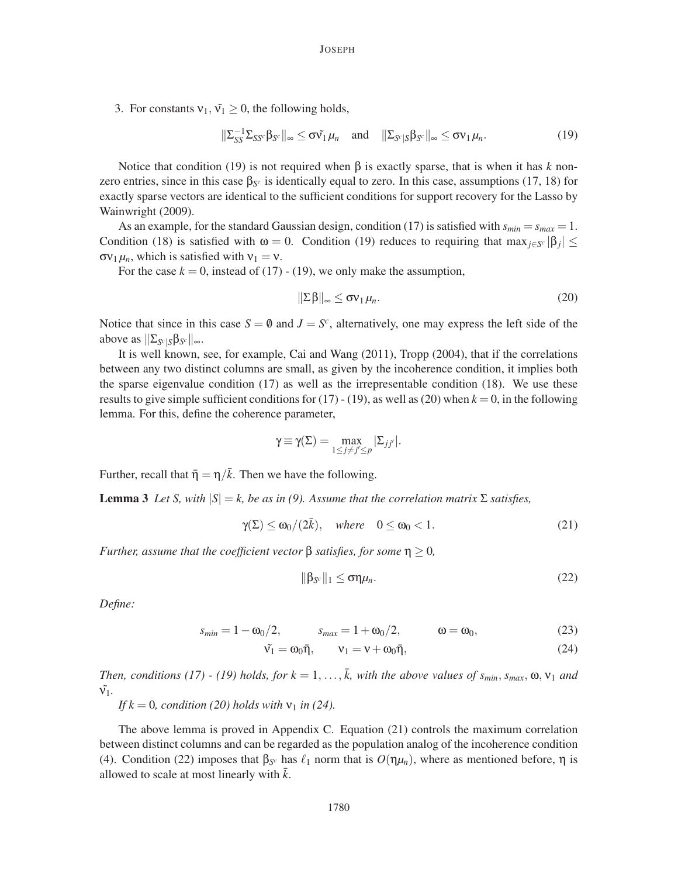3. For constants  $v_1, \tilde{v_1} \geq 0$ , the following holds,

$$
\|\Sigma_{SS}^{-1}\Sigma_{SS^c}\beta_{S^c}\|_{\infty} \leq \sigma\tilde{v_1}\mu_n \quad \text{and} \quad \|\Sigma_{S^c|S}\beta_{S^c}\|_{\infty} \leq \sigma v_1\mu_n. \tag{19}
$$

Notice that condition (19) is not required when β is exactly sparse, that is when it has *k* nonzero entries, since in this case  $\beta_{S^c}$  is identically equal to zero. In this case, assumptions (17, 18) for exactly sparse vectors are identical to the sufficient conditions for support recovery for the Lasso by Wainwright (2009).

As an example, for the standard Gaussian design, condition (17) is satisfied with  $s_{min} = s_{max} = 1$ . Condition (18) is satisfied with  $\omega = 0$ . Condition (19) reduces to requiring that max $_{j \in S^c}$   $|\beta_j| \leq$  $\sigma v_1 \mu_n$ , which is satisfied with  $v_1 = v$ .

For the case  $k = 0$ , instead of (17) - (19), we only make the assumption,

$$
\|\Sigma\beta\|_{\infty} \leq \sigma v_1 \mu_n. \tag{20}
$$

Notice that since in this case  $S = \emptyset$  and  $J = S^c$ , alternatively, one may express the left side of the above as  $\|\sum_{S^c|S} \beta_{S^c}\|_{\infty}$ .

It is well known, see, for example, Cai and Wang (2011), Tropp (2004), that if the correlations between any two distinct columns are small, as given by the incoherence condition, it implies both the sparse eigenvalue condition (17) as well as the irrepresentable condition (18). We use these results to give simple sufficient conditions for  $(17)$  -  $(19)$ , as well as  $(20)$  when  $k = 0$ , in the following lemma. For this, define the coherence parameter,

$$
\gamma \equiv \gamma(\Sigma) = \max_{1 \leq j \neq j' \leq p} |\Sigma_{jj'}|.
$$

Further, recall that  $\bar{\eta} = \eta/\bar{k}$ . Then we have the following.

**Lemma 3** *Let S, with*  $|S| = k$ , *be as in* (9). Assume that the correlation matrix  $\sum$  satisfies,

$$
\gamma(\Sigma) \le \omega_0/(2\bar{k}), \quad \text{where} \quad 0 \le \omega_0 < 1. \tag{21}
$$

*Further, assume that the coefficient vector*  $β$  *satisfies, for some*  $η ≥ 0$ *,* 

$$
\|\beta_{S^c}\|_1 \leq \sigma \eta \mu_n. \tag{22}
$$

*Define:*

$$
s_{min} = 1 - \omega_0/2,
$$
  $s_{max} = 1 + \omega_0/2,$   $\omega = \omega_0,$  (23)

$$
\tilde{\mathbf{v}}_1 = \mathbf{\omega}_0 \bar{\mathbf{\eta}}, \qquad \mathbf{v}_1 = \mathbf{v} + \mathbf{\omega}_0 \bar{\mathbf{\eta}}, \tag{24}
$$

*Then, conditions (17) - (19) holds, for*  $k = 1, ..., \overline{k}$ , with the above values of  $s_{min}$ ,  $s_{max}$ ,  $\omega$ ,  $v_1$  and  $\tilde{v_1}$ .

*If*  $k = 0$ *, condition (20) holds with*  $v_1$  *in (24).* 

The above lemma is proved in Appendix C. Equation (21) controls the maximum correlation between distinct columns and can be regarded as the population analog of the incoherence condition (4). Condition (22) imposes that  $β_{S^c}$  has  $\ell_1$  norm that is  $O(ημ_n)$ , where as mentioned before, η is allowed to scale at most linearly with  $\bar{k}$ .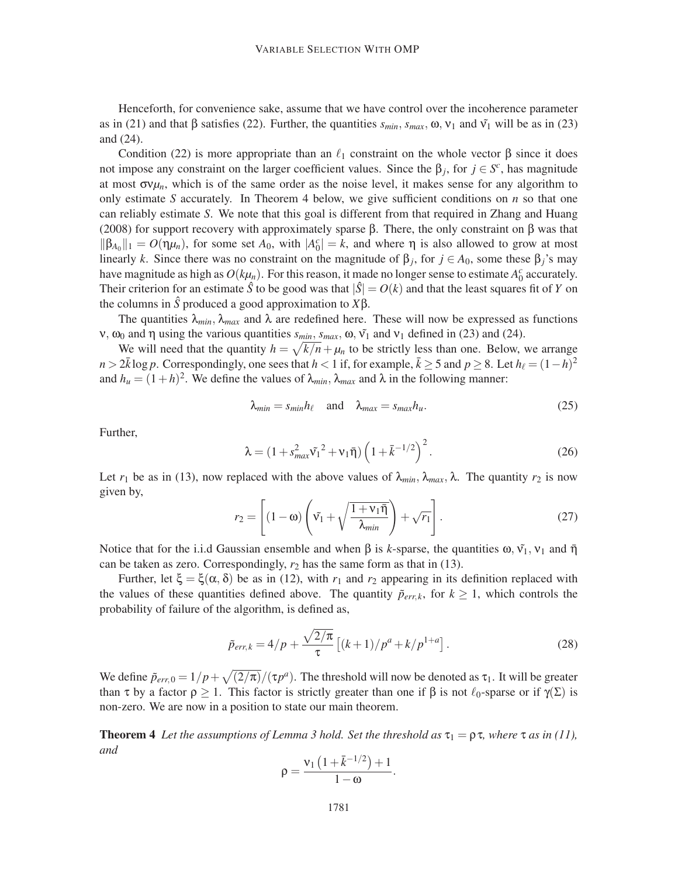Henceforth, for convenience sake, assume that we have control over the incoherence parameter as in (21) and that β satisfies (22). Further, the quantities  $s_{min}$ ,  $s_{max}$ , ω,  $v_1$  and  $\tilde{v_1}$  will be as in (23) and (24).

Condition (22) is more appropriate than an  $\ell_1$  constraint on the whole vector β since it does not impose any constraint on the larger coefficient values. Since the  $\beta_j$ , for  $j \in S^c$ , has magnitude at most  $\sigma v \mu_n$ , which is of the same order as the noise level, it makes sense for any algorithm to only estimate *S* accurately. In Theorem 4 below, we give sufficient conditions on *n* so that one can reliably estimate *S*. We note that this goal is different from that required in Zhang and Huang (2008) for support recovery with approximately sparse β. There, the only constraint on β was that  $\|\beta_{A_0}\|_1 = O(\eta \mu_n)$ , for some set  $A_0$ , with  $|A_0^c| = k$ , and where  $\eta$  is also allowed to grow at most linearly *k*. Since there was no constraint on the magnitude of  $\beta_j$ , for  $j \in A_0$ , some these  $\beta_j$ 's may have magnitude as high as  $O(k\mu_n)$ . For this reason, it made no longer sense to estimate  $A_0^c$  accurately. Their criterion for an estimate  $\hat{S}$  to be good was that  $|\hat{S}| = O(k)$  and that the least squares fit of *Y* on the columns in *S*ˆ produced a good approximation to *X*β.

The quantities  $\lambda_{min}$ ,  $\lambda_{max}$  and  $\lambda$  are redefined here. These will now be expressed as functions **ν**,  $ω_0$  and η using the various quantities  $s_{min}$ ,  $s_{max}$ ,  $ω$ ,  $\tilde{v_1}$  and  $v_1$  defined in (23) and (24).

We will need that the quantity  $h = \sqrt{k/n} + \mu_n$  to be strictly less than one. Below, we arrange  $n > 2\bar{k} \log p$ . Correspondingly, one sees that  $h < 1$  if, for example,  $\bar{k} \ge 5$  and  $p \ge 8$ . Let  $h_{\ell} = (1-h)^2$ and  $h_u = (1+h)^2$ . We define the values of  $\lambda_{min}$ ,  $\lambda_{max}$  and  $\lambda$  in the following manner:

$$
\lambda_{\min} = s_{\min} h_\ell \quad \text{and} \quad \lambda_{\max} = s_{\max} h_u. \tag{25}
$$

Further,

$$
\lambda = (1 + s_{max}^2 \tilde{v}_1^2 + v_1 \bar{\eta}) \left( 1 + \bar{k}^{-1/2} \right)^2.
$$
 (26)

Let  $r_1$  be as in (13), now replaced with the above values of  $\lambda_{min}$ ,  $\lambda_{max}$ ,  $\lambda$ . The quantity  $r_2$  is now given by,

$$
r_2 = \left[ (1 - \omega) \left( \tilde{\mathsf{v}_1} + \sqrt{\frac{1 + \mathsf{v}_1 \bar{\mathsf{y}}}{\lambda_{\text{min}}}} \right) + \sqrt{r_1} \right]. \tag{27}
$$

Notice that for the i.i.d Gaussian ensemble and when β is *k*-sparse, the quantities  $ω, v₁, v₁$  and  $\bar{η}$ can be taken as zero. Correspondingly,  $r_2$  has the same form as that in (13).

Further, let  $\xi = \xi(\alpha, \delta)$  be as in (12), with  $r_1$  and  $r_2$  appearing in its definition replaced with the values of these quantities defined above. The quantity  $\tilde{p}_{err,k}$ , for  $k \ge 1$ , which controls the probability of failure of the algorithm, is defined as,

$$
\tilde{p}_{err,k} = 4/p + \frac{\sqrt{2/\pi}}{\tau} \left[ (k+1)/p^a + k/p^{1+a} \right].
$$
\n(28)

.

We define  $\tilde{p}_{err,0} = 1/p + \sqrt{(2/\pi)}/(\tau p^a)$ . The threshold will now be denoted as  $\tau_1$ . It will be greater than  $\tau$  by a factor  $\rho \ge 1$ . This factor is strictly greater than one if  $\beta$  is not  $\ell_0$ -sparse or if  $\gamma(\Sigma)$  is non-zero. We are now in a position to state our main theorem.

**Theorem 4** Let the assumptions of Lemma 3 hold. Set the threshold as  $\tau_1 = \rho \tau$ , where  $\tau$  as in (11), *and*

$$
\rho = \frac{v_1\left(1+\bar{k}^{-1/2}\right)+1}{1-\omega}
$$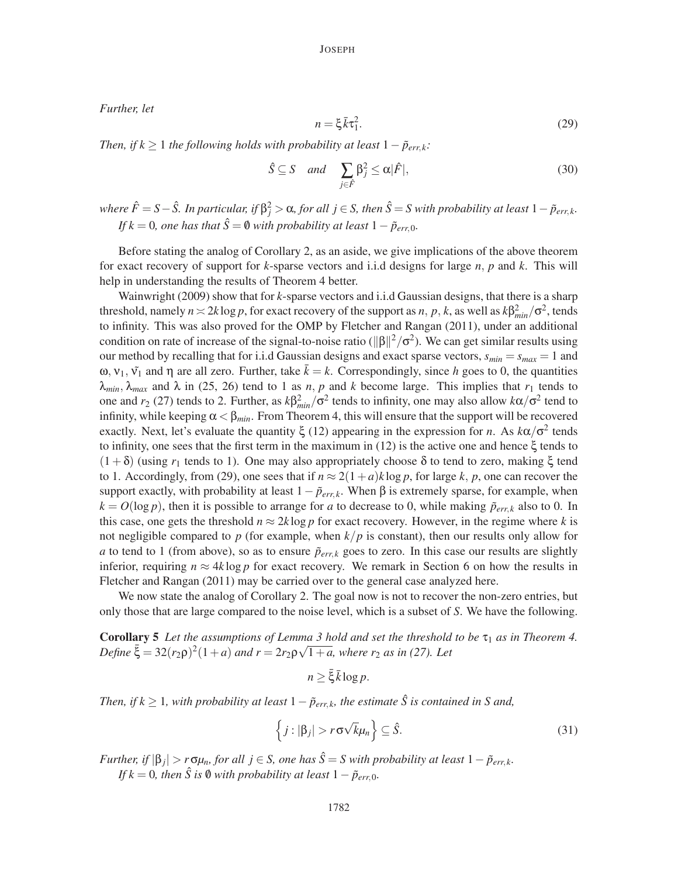*Further, let*

$$
n = \xi \bar{k} \tau_1^2. \tag{29}
$$

*Then, if k*  $\geq$  1 *the following holds with probability at least*  $1-\tilde{p}_{err,k}$ *:* 

$$
\hat{S} \subseteq S \quad and \quad \sum_{j \in \hat{F}} \beta_j^2 \le \alpha |\hat{F}|,\tag{30}
$$

 $\alpha$  *where*  $\hat{F} = S - \hat{S}$ *. In particular, if*  $\beta_j^2 > \alpha$ , *for all*  $j \in S$ *, then*  $\hat{S} = S$  with probability at least  $1 - \tilde{p}_{err,k}$ . *If*  $k = 0$ *, one has that*  $\hat{S} = \emptyset$  *with probability at least*  $1 - \tilde{p}_{err,0}$ *.* 

Before stating the analog of Corollary 2, as an aside, we give implications of the above theorem for exact recovery of support for *k*-sparse vectors and i.i.d designs for large *n*, *p* and *k*. This will help in understanding the results of Theorem 4 better.

Wainwright (2009) show that for *k*-sparse vectors and i.i.d Gaussian designs, that there is a sharp threshold, namely  $n \approx 2k \log p$ , for exact recovery of the support as  $n, p, k$ , as well as  $k\beta_{min}^2/\sigma^2$ , tends to infinity. This was also proved for the OMP by Fletcher and Rangan (2011), under an additional condition on rate of increase of the signal-to-noise ratio ( $\|\beta\|^2/\sigma^2$ ). We can get similar results using our method by recalling that for i.i.d Gaussian designs and exact sparse vectors,  $s_{min} = s_{max} = 1$  and ω,  $v_1$ ,  $\tilde{v_1}$  and η are all zero. Further, take  $\bar{k} = k$ . Correspondingly, since *h* goes to 0, the quantities  $\lambda_{min}$ ,  $\lambda_{max}$  and  $\lambda$  in (25, 26) tend to 1 as *n*, *p* and *k* become large. This implies that  $r_1$  tends to one and  $r_2$  (27) tends to 2. Further, as  $k\beta_{min}^2/\sigma^2$  tends to infinity, one may also allow  $k\alpha/\sigma^2$  tend to infinity, while keeping  $\alpha < \beta_{min}$ . From Theorem 4, this will ensure that the support will be recovered exactly. Next, let's evaluate the quantity  $\xi$  (12) appearing in the expression for *n*. As  $k\alpha/\sigma^2$  tends to infinity, one sees that the first term in the maximum in (12) is the active one and hence  $\xi$  tends to (1+δ) (using *r*<sup>1</sup> tends to 1). One may also appropriately choose δ to tend to zero, making ξ tend to 1. Accordingly, from (29), one sees that if  $n \approx 2(1+a)k\log p$ , for large k, p, one can recover the support exactly, with probability at least  $1-\tilde{p}_{err,k}$ . When  $\beta$  is extremely sparse, for example, when  $k = O(\log p)$ , then it is possible to arrange for *a* to decrease to 0, while making  $\tilde{p}_{err,k}$  also to 0. In this case, one gets the threshold  $n \approx 2k \log p$  for exact recovery. However, in the regime where *k* is not negligible compared to *p* (for example, when  $k/p$  is constant), then our results only allow for *a* to tend to 1 (from above), so as to ensure  $\tilde{p}_{err,k}$  goes to zero. In this case our results are slightly inferior, requiring  $n \approx 4k \log p$  for exact recovery. We remark in Section 6 on how the results in Fletcher and Rangan (2011) may be carried over to the general case analyzed here.

We now state the analog of Corollary 2. The goal now is not to recover the non-zero entries, but only those that are large compared to the noise level, which is a subset of *S*. We have the following.

**Corollary 5** Let the assumptions of Lemma 3 hold and set the threshold to be  $\tau_1$  as in Theorem 4.  $\Phi$  *Define*  $\bar{\xi} = 32(r_2\rho)^2(1+a)$  *and r* =  $2r_2\rho\sqrt{1+a}$ , where r<sub>2</sub> *as in (27). Let* 

$$
n \ge \bar{\xi} \bar{k} \log p.
$$

*Then, if k*  $\geq$  1*, with probability at least* 1 −  $\tilde{p}_{err,k}$ *, the estimate*  $\hat{S}$  *is contained in S and,* 

$$
\left\{ j : |\beta_j| > r \sigma \sqrt{k} \mu_n \right\} \subseteq \hat{S}.
$$
 (31)

*Further, if*  $|\beta_j| > r \sigma \mu_n$ , *for all j* ∈ *S, one has*  $\hat{S} = S$  *with probability at least*  $1 - \tilde{p}_{err,k}$ *. If*  $k = 0$ *, then*  $\hat{S}$  *is*  $\emptyset$  *with probability at least*  $1 - \tilde{p}_{err}$ <sup>0</sup>*.*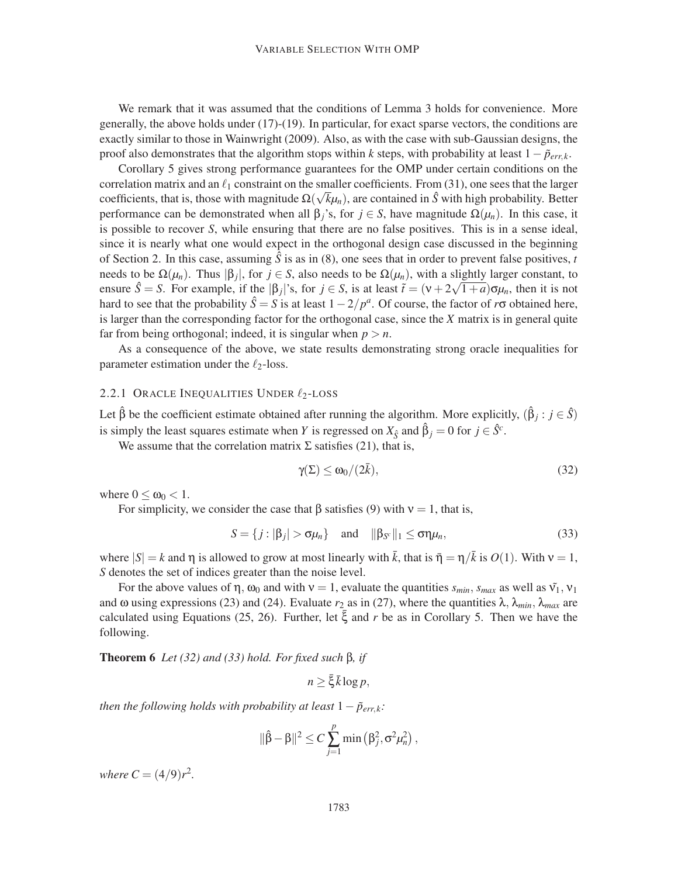We remark that it was assumed that the conditions of Lemma 3 holds for convenience. More generally, the above holds under (17)-(19). In particular, for exact sparse vectors, the conditions are exactly similar to those in Wainwright (2009). Also, as with the case with sub-Gaussian designs, the proof also demonstrates that the algorithm stops within *k* steps, with probability at least  $1 - \tilde{p}_{errk}$ .

Corollary 5 gives strong performance guarantees for the OMP under certain conditions on the correlation matrix and an  $\ell_1$  constraint on the smaller coefficients. From (31), one sees that the larger coefficients, that is, those with magnitude  $\Omega(\sqrt{k}\mu_n)$ , are contained in *S*<sup>̂</sup> with high probability. Better performance can be demonstrated when all  $\beta$ <sub>*j*</sub>'s, for *j*  $\in$  *S*, have magnitude  $\Omega(\mu_n)$ . In this case, it is possible to recover *S*, while ensuring that there are no false positives. This is in a sense ideal, since it is nearly what one would expect in the orthogonal design case discussed in the beginning of Section 2. In this case, assuming  $\hat{S}$  is as in (8), one sees that in order to prevent false positives, *t* needs to be  $\Omega(\mu_n)$ . Thus  $|\beta_j|$ , for  $j \in S$ , also needs to be  $\Omega(\mu_n)$ , with a slightly larger constant, to ensure  $\hat{S} = S$ . For example, if the  $|\beta_j|$ 's, for  $j \in S$ , is at least  $\tilde{t} = (v + 2\sqrt{1+a})\sigma\mu_n$ , then it is not hard to see that the probability  $\hat{S} = S$  is at least  $1 - 2/p^a$ . Of course, the factor of  $r\sigma$  obtained here, is larger than the corresponding factor for the orthogonal case, since the *X* matrix is in general quite far from being orthogonal; indeed, it is singular when  $p > n$ .

As a consequence of the above, we state results demonstrating strong oracle inequalities for parameter estimation under the  $\ell_2$ -loss.

# 2.2.1 ORACLE INEQUALITIES UNDER  $\ell_2$ -LOSS

Let  $\hat{\beta}$  be the coefficient estimate obtained after running the algorithm. More explicitly,  $(\hat{\beta}_j : j \in \hat{S})$ is simply the least squares estimate when *Y* is regressed on  $X_{\hat{S}}$  and  $\hat{\beta}_j = 0$  for  $j \in \hat{S}^c$ .

We assume that the correlation matrix  $\Sigma$  satisfies (21), that is,

$$
\gamma(\Sigma) \le \omega_0/(2\bar{k}),\tag{32}
$$

where  $0 \leq \omega_0 < 1$ .

For simplicity, we consider the case that  $\beta$  satisfies (9) with  $v = 1$ , that is,

$$
S = \{j : |\beta_j| > \sigma \mu_n\} \quad \text{and} \quad ||\beta_{S^c}||_1 \leq \sigma \eta \mu_n,\tag{33}
$$

where  $|S| = k$  and  $\eta$  is allowed to grow at most linearly with  $\bar{k}$ , that is  $\bar{\eta} = \eta/\bar{k}$  is  $O(1)$ . With  $v = 1$ , *S* denotes the set of indices greater than the noise level.

For the above values of  $\eta$ ,  $\omega_0$  and with  $v = 1$ , evaluate the quantities  $s_{min}$ ,  $s_{max}$  as well as  $\tilde{v_1}$ ,  $v_1$ and  $\omega$  using expressions (23) and (24). Evaluate  $r_2$  as in (27), where the quantities  $\lambda$ ,  $\lambda_{min}$ ,  $\lambda_{max}$  are calculated using Equations (25, 26). Further, let  $\bar{\xi}$  and r be as in Corollary 5. Then we have the following.

Theorem 6 *Let (32) and (33) hold. For fixed such* β*, if*

 $n > \bar{\xi} \bar{k} \log p$ ,

*then the following holds with probability at least*  $1-\tilde{p}_{err,k}$ *:* 

$$
\|\hat{\beta}-\beta\|^2 \leq C \sum_{j=1}^p \min(\beta_j^2, \sigma^2 \mu_n^2),
$$

*where*  $C = (4/9)r^2$ .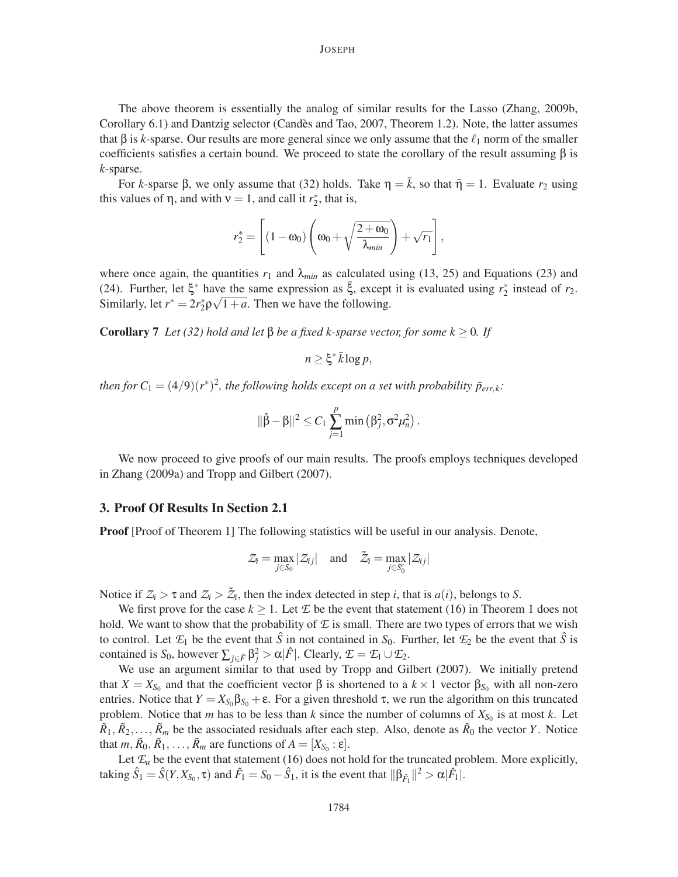The above theorem is essentially the analog of similar results for the Lasso (Zhang, 2009b, Corollary 6.1) and Dantzig selector (Candes and Tao, 2007, Theorem 1.2). Note, the latter assumes ` that β is *k*-sparse. Our results are more general since we only assume that the  $\ell_1$  norm of the smaller coefficients satisfies a certain bound. We proceed to state the corollary of the result assuming  $\beta$  is *k*-sparse.

For *k*-sparse  $\beta$ , we only assume that (32) holds. Take  $\eta = k$ , so that  $\bar{\eta} = 1$ . Evaluate  $r_2$  using this values of  $\eta$ , and with  $v = 1$ , and call it  $r_2^*$ , that is,

$$
r_2^* = \left[ (1 - \omega_0) \left( \omega_0 + \sqrt{\frac{2 + \omega_0}{\lambda_{min}}} \right) + \sqrt{r_1} \right],
$$

where once again, the quantities  $r_1$  and  $\lambda_{min}$  as calculated using (13, 25) and Equations (23) and (24). Further, let  $\xi^*$  have the same expression as  $\bar{\xi}$ , except it is evaluated using  $r_2^*$  instead of  $r_2$ . Similarly, let  $r^* = 2r_2^* \rho \sqrt{1+a}$ . Then we have the following.

**Corollary 7** *Let* (32) hold and let β be a fixed k-sparse vector, for some  $k \geq 0$ . If

$$
n \geq \xi^* \bar{k} \log p,
$$

*then for*  $C_1 = (4/9)(r^*)^2$ , the following holds except on a set with probability  $\tilde{p}_{err,k}$ .

$$
\|\hat{\beta}-\beta\|^2 \leq C_1 \sum_{j=1}^p \min(\beta_j^2, \sigma^2 \mu_n^2).
$$

We now proceed to give proofs of our main results. The proofs employs techniques developed in Zhang (2009a) and Tropp and Gilbert (2007).

## 3. Proof Of Results In Section 2.1

**Proof** [Proof of Theorem 1] The following statistics will be useful in our analysis. Denote,

$$
\mathcal{Z}_i = \max_{j \in S_0} |\mathcal{Z}_{ij}| \quad \text{and} \quad \tilde{\mathcal{Z}}_i = \max_{j \in S_0^c} |\mathcal{Z}_{ij}|
$$

Notice if  $Z_i > \tau$  and  $Z_i > \tilde{Z}_i$ , then the index detected in step *i*, that is  $a(i)$ , belongs to *S*.

We first prove for the case  $k \geq 1$ . Let  $E$  be the event that statement (16) in Theorem 1 does not hold. We want to show that the probability of *E* is small. There are two types of errors that we wish to control. Let  $\mathcal{E}_1$  be the event that  $\hat{S}$  in not contained in  $S_0$ . Further, let  $\mathcal{E}_2$  be the event that  $\hat{S}$  is contained is  $S_0$ , however  $\sum_{j \in \hat{F}} \beta_j^2 > \alpha |\hat{F}|$ . Clearly,  $\mathcal{I} = \mathcal{I}_1 \cup \mathcal{I}_2$ .

We use an argument similar to that used by Tropp and Gilbert (2007). We initially pretend that  $X = X_{S_0}$  and that the coefficient vector  $\beta$  is shortened to a  $k \times 1$  vector  $\beta_{S_0}$  with all non-zero entries. Notice that  $Y = X_{S_0} \beta_{S_0} + \varepsilon$ . For a given threshold  $\tau$ , we run the algorithm on this truncated problem. Notice that *m* has to be less than *k* since the number of columns of  $X_{S_0}$  is at most *k*. Let  $\tilde{R}_1, \tilde{R}_2, \ldots, \tilde{R}_m$  be the associated residuals after each step. Also, denote as  $\tilde{R}_0$  the vector *Y*. Notice that  $m, \tilde{R}_0, \tilde{R}_1, \ldots, \tilde{R}_m$  are functions of  $A = [X_{S_0} : \varepsilon].$ 

Let  $\mathcal{L}_u$  be the event that statement (16) does not hold for the truncated problem. More explicitly, taking  $\hat{S}_1 = \hat{S}(Y, X_{S_0}, \tau)$  and  $\hat{F}_1 = S_0 - \hat{S}_1$ , it is the event that  $\|\beta_{\hat{F}_1}\|^2 > \alpha |\hat{F}_1|$ .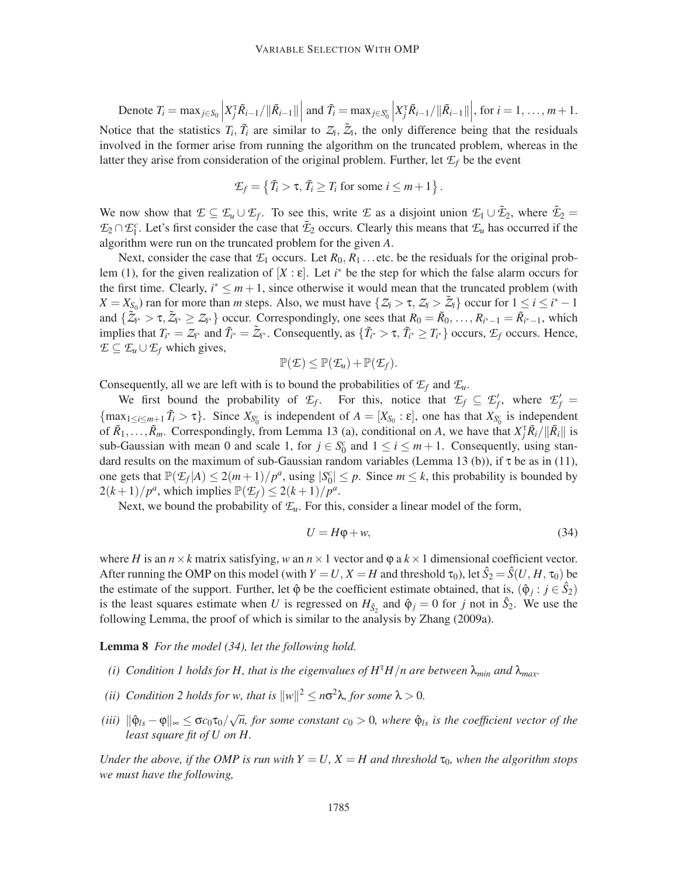Denote  $T_i = \max_{j \in S_0}$  $X_j^{\text{T}} \tilde{R}_{i-1} / ||\tilde{R}_{i-1}||$ and  $\tilde{T}_i = \max_{j \in S_0^c}$  $X_j^{\text{T}} \tilde{R}_{i-1}/\|\tilde{R}_{i-1}\|$ , for  $i = 1, ..., m+1$ . Notice that the statistics  $T_i$ ,  $\tilde{T}_i$  are similar to  $Z_i$ ,  $\tilde{Z}_i$ , the only difference being that the residuals involved in the former arise from running the algorithm on the truncated problem, whereas in the latter they arise from consideration of the original problem. Further, let  $\mathcal{E}_f$  be the event

$$
\mathcal{L}_f = \left\{ \tilde{T}_i > \tau, \, \tilde{T}_i \geq T_i \text{ for some } i \leq m+1 \right\}.
$$

We now show that  $\mathcal{L} \subseteq \mathcal{L}_u \cup \mathcal{L}_f$ . To see this, write  $\mathcal{L}$  as a disjoint union  $\mathcal{L}_1 \cup \tilde{\mathcal{L}}_2$ , where  $\tilde{\mathcal{L}}_2$  $\mathcal{F}_2 \cap \mathcal{F}_1^c$ . Let's first consider the case that  $\tilde{\mathcal{F}}_2$  occurs. Clearly this means that  $\mathcal{F}_u$  has occurred if the algorithm were run on the truncated problem for the given *A*.

Next, consider the case that  $E_1$  occurs. Let  $R_0, R_1$ ...etc. be the residuals for the original problem (1), for the given realization of  $[X:\varepsilon]$ . Let *i*<sup>\*</sup> be the step for which the false alarm occurs for the first time. Clearly,  $i^* \leq m+1$ , since otherwise it would mean that the truncated problem (with  $X = X_{S_0}$  ran for more than *m* steps. Also, we must have  $\{Z_i > \tau, Z_i > \tilde{Z}_i\}$  occur for  $1 \leq i \leq i^* - 1$ and  $\{\tilde{Z}_{i^*} > \tau, \tilde{Z}_{i^*} \geq Z_{i^*}\}\)$  occur. Correspondingly, one sees that  $R_0 = \tilde{R}_0, \ldots, R_{i^*-1} = \tilde{R}_{i^*-1}$ , which implies that  $T_{i^*} = \mathcal{Z}_{i^*}$  and  $\tilde{T}_{i^*} = \tilde{\mathcal{Z}}_{i^*}$ . Consequently, as  $\{\tilde{T}_{i^*} > \tau, \tilde{T}_{i^*} \ge T_{i^*}\}\)$  occurs,  $\mathcal{E}_f$  occurs. Hence, *E* ⊆  $E$ <sup>*u*</sup> ∪  $E$ <sup>*f*</sup> which gives,

$$
\mathbb{P}(\mathcal{E}) \leq \mathbb{P}(\mathcal{E}_u) + \mathbb{P}(\mathcal{E}_f).
$$

Consequently, all we are left with is to bound the probabilities of  $\mathcal{E}_f$  and  $\mathcal{E}_u$ .

We first bound the probability of  $\mathcal{E}_f$ . For this, notice that  $\mathcal{E}_f \subseteq \mathcal{E}'_f$ , where  $\mathcal{E}'_f$  $\{\max_{1 \le i \le m+1} \tilde{T}_i > \tau\}$ . Since  $X_{S_0^c}$  is independent of  $A = [X_{S_0} : \varepsilon]$ , one has that  $X_{S_0^c}$  is independent of  $\tilde{R}_1, \ldots, \tilde{R}_m$ . Correspondingly, from Lemma 13 (a), conditional on *A*, we have that  $X_j^T \tilde{R}_i / ||\tilde{R}_i||$  is sub-Gaussian with mean 0 and scale 1, for  $j \in S_0^c$  and  $1 \le i \le m+1$ . Consequently, using standard results on the maximum of sub-Gaussian random variables (Lemma 13 (b)), if  $\tau$  be as in (11), one gets that  $\mathbb{P}(\mathcal{E}_f | A) \leq 2(m+1)/p^a$ , using  $|S_0^c| \leq p$ . Since  $m \leq k$ , this probability is bounded by  $2(k+1)/p^a$ , which implies  $\mathbb{P}(\mathcal{F}_f) \leq 2(k+1)/p^a$ .

Next, we bound the probability of  $\mathcal{F}_u$ . For this, consider a linear model of the form,

$$
U = H\varphi + w,\tag{34}
$$

where *H* is an  $n \times k$  matrix satisfying, *w* an  $n \times 1$  vector and  $\varphi$  a  $k \times 1$  dimensional coefficient vector. After running the OMP on this model (with  $Y = U, X = H$  and threshold  $\tau_0$ ), let  $\hat{S}_2 = \hat{S}(U, H, \tau_0)$  be the estimate of the support. Further, let  $\hat{\varphi}$  be the coefficient estimate obtained, that is,  $(\hat{\varphi}_j : j \in \hat{S}_2)$ is the least squares estimate when *U* is regressed on  $H_{\hat{S}_2}$  and  $\hat{\varphi}_j = 0$  for *j* not in  $\hat{S}_2$ . We use the following Lemma, the proof of which is similar to the analysis by Zhang (2009a).

Lemma 8 *For the model (34), let the following hold.*

- *(i)* Condition 1 holds for H, that is the eigenvalues of  $H<sup>T</sup>H/n$  are between  $\lambda_{min}$  and  $\lambda_{max}$ .
- (*ii*) Condition 2 holds for w, that is  $||w||^2 \le n\sigma^2\lambda$ , for some  $\lambda > 0$ .
- $(iii)$   $\|\hat{\phi}_{ls} \phi\|_{\infty} \leq \sigma c_0 \tau_0 / \sqrt{n}$ , for some constant  $c_0 > 0$ , where  $\hat{\phi}_{ls}$  is the coefficient vector of the *least square fit of U on H.*

*Under the above, if the OMP is run with*  $Y = U$ ,  $X = H$  and threshold  $\tau_0$ , when the algorithm stops *we must have the following,*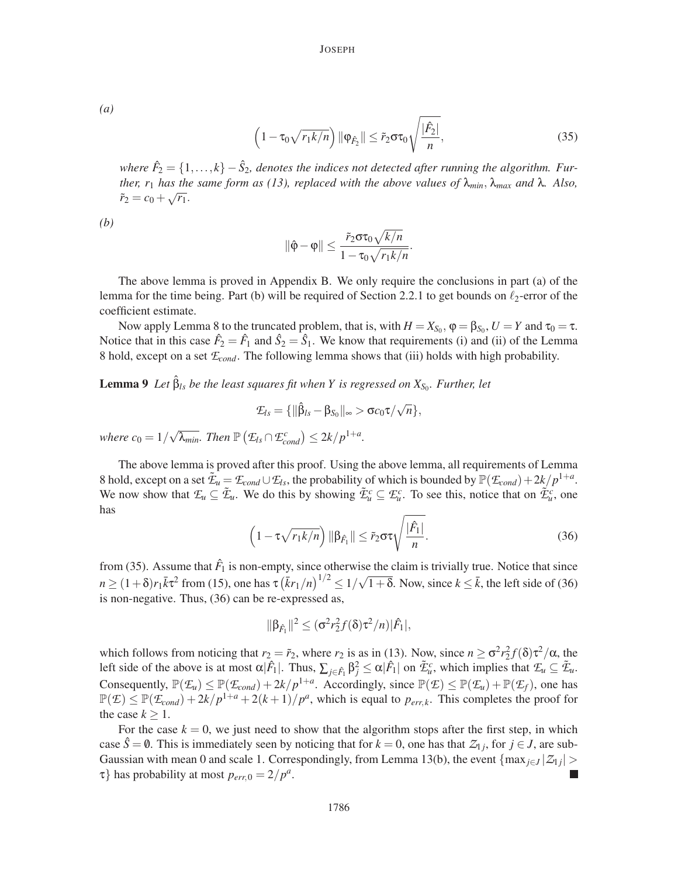*(a)*

$$
\left(1 - \tau_0 \sqrt{r_1 k/n}\right) \|\varphi_{\hat{F}_2}\| \leq \tilde{r}_2 \sigma \tau_0 \sqrt{\frac{|\hat{F}_2|}{n}},\tag{35}
$$

*where*  $\hat{F}_2 = \{1, \ldots, k\} - \hat{S}_2$ , denotes the indices not detected after running the algorithm. Fur*ther, r*<sub>1</sub> *has the same form as (13), replaced with the above values of*  $\lambda_{min}$ ,  $\lambda_{max}$  *and*  $\lambda$ *. Also,*  $\tilde{r}_2 = c_0 + \sqrt{r_1}.$ 

*(b)*

$$
\|\hat{\varphi}-\varphi\|\leq \frac{\tilde{r}_2\sigma\tau_0\sqrt{k/n}}{1-\tau_0\sqrt{r_1k/n}}.
$$

The above lemma is proved in Appendix B. We only require the conclusions in part (a) of the lemma for the time being. Part (b) will be required of Section 2.2.1 to get bounds on  $\ell_2$ -error of the coefficient estimate.

Now apply Lemma 8 to the truncated problem, that is, with  $H = X_{S_0}$ ,  $\varphi = \beta_{S_0}$ ,  $U = Y$  and  $\tau_0 = \tau$ . Notice that in this case  $\hat{F}_2 = \hat{F}_1$  and  $\hat{S}_2 = \hat{S}_1$ . We know that requirements (i) and (ii) of the Lemma 8 hold, except on a set *Econd*. The following lemma shows that (iii) holds with high probability.

**Lemma 9** Let  $\hat{\beta}_{ls}$  be the least squares fit when Y is regressed on  $X_{S_0}$ . Further, let

$$
\mathcal{I}_{ls} = \{ \|\hat{\beta}_{ls} - \beta_{S_0}\|_{\infty} > \sigma c_0 \tau / \sqrt{n} \},\
$$

where  $c_0 = 1/\sqrt{\lambda_{min}}$ . Then  $\mathbb{P}\left(\mathcal{E}_{ls} \cap \mathcal{E}_{cond}^c\right) \leq 2k/p^{1+a}$ .

The above lemma is proved after this proof. Using the above lemma, all requirements of Lemma 8 hold, except on a set  $\tilde{\mathcal{I}}_u = \mathcal{I}_{cond} \cup \mathcal{I}_{ls}$ , the probability of which is bounded by  $\mathbb{P}(\mathcal{I}_{cond}) + 2k/p^{1+a}$ . We now show that  $\mathcal{F}_u \subseteq \tilde{\mathcal{F}}_u$ . We do this by showing  $\tilde{\mathcal{F}}_u^c \subseteq \mathcal{F}_u^c$ . To see this, notice that on  $\tilde{\mathcal{F}}_u^c$ , one has

$$
\left(1 - \tau \sqrt{r_1 k/n}\right) \|\beta_{\hat{F}_1}\| \leq \tilde{r}_2 \sigma \tau \sqrt{\frac{|\hat{F}_1|}{n}}.\tag{36}
$$

from (35). Assume that  $\hat{F}_1$  is non-empty, since otherwise the claim is trivially true. Notice that since  $n \ge (1+\delta)r_1\bar{k}\tau^2$  from (15), one has  $\tau(\bar{k}r_1/n)^{1/2} \le 1/\sqrt{1+\delta}$ . Now, since  $k \le \bar{k}$ , the left side of (36) is non-negative. Thus, (36) can be re-expressed as,

$$
\|\beta_{\hat{F}_1}\|^2 \leq (\sigma^2 r_2^2 f(\delta) \tau^2/n) |\hat{F}_1|,
$$

which follows from noticing that  $r_2 = \tilde{r}_2$ , where  $r_2$  is as in (13). Now, since  $n \ge \sigma^2 r_2^2 f(\delta) \tau^2 / \alpha$ , the left side of the above is at most  $\alpha |F_1|$ . Thus,  $\sum_{j \in \hat{F}_1} \beta_j^2 \leq \alpha |F_1|$  on  $\tilde{\mathcal{I}}_u^c$ , which implies that  $\mathcal{I}_u \subseteq \tilde{\mathcal{I}}_u$ . Consequently,  $\mathbb{P}(\mathcal{F}_u) \leq \mathbb{P}(\mathcal{F}_{cond}) + 2k/p^{1+a}$ . Accordingly, since  $\mathbb{P}(\mathcal{F}) \leq \mathbb{P}(\mathcal{F}_u) + \mathbb{P}(\mathcal{F}_f)$ , one has  $\mathbb{P}(\mathcal{E}) \leq \mathbb{P}(\mathcal{E}_{cond}) + 2k/p^{1+a} + 2(k+1)/p^a$ , which is equal to  $p_{err,k}$ . This completes the proof for the case  $k > 1$ .

For the case  $k = 0$ , we just need to show that the algorithm stops after the first step, in which case  $\hat{S} = \emptyset$ . This is immediately seen by noticing that for  $k = 0$ , one has that  $Z_{1j}$ , for  $j \in J$ , are sub-Gaussian with mean 0 and scale 1. Correspondingly, from Lemma 13(b), the event  $\{\max_{j\in J} |Z_{1j}| > \}$  $\tau$ } has probability at most  $p_{err,0} = 2/p^a$ .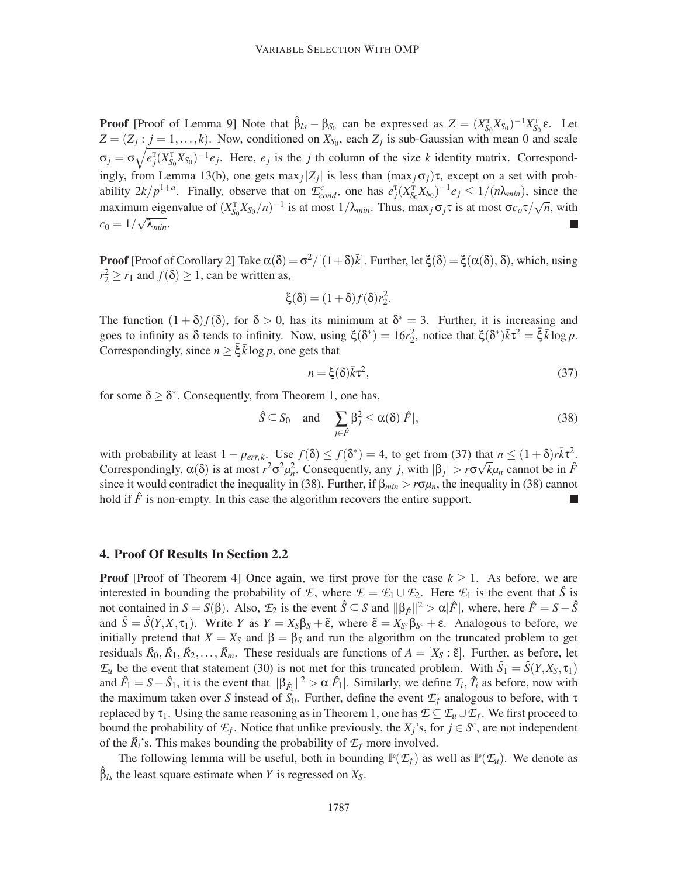**Proof** [Proof of Lemma 9] Note that  $\hat{\beta}_{ls} - \beta_{S_0}$  can be expressed as  $Z = (X_{S_0}^T X_{S_0})^{-1} X_{S_0}^T \varepsilon$ . Let  $Z = (Z_j : j = 1, \ldots, k)$ . Now, conditioned on  $X_{S_0}$ , each  $Z_j$  is sub-Gaussian with mean 0 and scale  $\sigma_j = \sigma \sqrt{e_j^T (X_{S_0}^T X_{S_0})^{-1} e_j}$ . Here,  $e_j$  is the *j* th column of the size *k* identity matrix. Correspondingly, from Lemma 13(b), one gets  $\max_j |Z_j|$  is less than  $(\max_j \sigma_j)\tau$ , except on a set with probability  $2k/p^{1+a}$ . Finally, observe that on  $\mathcal{L}_{cond}^c$ , one has  $e_j^T (X_{S_0}^T X_{S_0})^{-1} e_j \leq 1/(n\lambda_{min})$ , since the maximum eigenvalue of  $(X_{S_0}^T X_{S_0}/n)^{-1}$  is at most  $1/\lambda_{min}$ . Thus, max<sub>j</sub>  $\sigma_j \tau$  is at most  $\sigma c_o \tau / \sqrt{n}$ , with  $c_0 = 1/\sqrt{\lambda_{min}}.$ 

**Proof** [Proof of Corollary 2] Take  $\alpha(\delta) = \sigma^2/[(1+\delta)\bar{k}]$ . Further, let  $\xi(\delta) = \xi(\alpha(\delta), \delta)$ , which, using  $r_2^2 \ge r_1$  and  $f(\delta) \ge 1$ , can be written as,

$$
\xi(\delta) = (1+\delta)f(\delta)r_2^2.
$$

The function  $(1 + \delta) f(\delta)$ , for  $\delta > 0$ , has its minimum at  $\delta^* = 3$ . Further, it is increasing and goes to infinity as  $\delta$  tends to infinity. Now, using  $\xi(\delta^*) = 16r_2^2$ , notice that  $\xi(\delta^*)\overline{k}\tau^2 = \overline{\xi}\overline{k}\log p$ . Correspondingly, since  $n \geq \bar{\xi} \bar{k} \log p$ , one gets that

$$
n = \xi(\delta)\bar{k}\tau^2,\tag{37}
$$

for some  $\delta \geq \delta^*$ . Consequently, from Theorem 1, one has,

$$
\hat{S} \subseteq S_0 \quad \text{and} \quad \sum_{j \in \hat{F}} \beta_j^2 \le \alpha(\delta) |\hat{F}|,\tag{38}
$$

with probability at least  $1 - p_{err,k}$ . Use  $f(\delta) \le f(\delta^*) = 4$ , to get from (37) that  $n \le (1 + \delta)r\overline{k}\tau^2$ . *n*<sub>n</sub> *n*<sup>*n*</sup> consequently, α(δ) is at most  $r^2\sigma^2\mu_n^2$ . Consequently, any *j*, with  $|\beta_j| > r\sigma\sqrt{k}\mu_n$  cannot be in *f*<sup>∂</sup> since it would contradict the inequality in (38). Further, if  $\beta_{min} > r\sigma\mu_n$ , the inequality in (38) cannot hold if  $\hat{F}$  is non-empty. In this case the algorithm recovers the entire support.

## 4. Proof Of Results In Section 2.2

**Proof** [Proof of Theorem 4] Once again, we first prove for the case  $k \ge 1$ . As before, we are interested in bounding the probability of *E*, where  $\mathcal{E} = \mathcal{E}_1 \cup \mathcal{E}_2$ . Here  $\mathcal{E}_1$  is the event that *S*<sup> $\dot{S}$ </sup> is not contained in  $S = S(\beta)$ . Also,  $\mathcal{L}_2$  is the event  $\hat{S} \subseteq S$  and  $\|\beta_{\hat{F}}\|^2 > \alpha |\hat{F}|$ , where, here  $\hat{F} = S - \hat{S}$ and  $\hat{S} = \hat{S}(Y, X, \tau_1)$ . Write *Y* as  $Y = X_S\beta_S + \tilde{\epsilon}$ , where  $\tilde{\epsilon} = X_{S^c}\beta_{S^c} + \epsilon$ . Analogous to before, we initially pretend that  $X = X_S$  and  $\beta = \beta_S$  and run the algorithm on the truncated problem to get residuals  $\tilde{R}_0, \tilde{R}_1, \tilde{R}_2, \ldots, \tilde{R}_m$ . These residuals are functions of  $A = [X_S : \tilde{\epsilon}]$ . Further, as before, let  $\mathcal{F}_u$  be the event that statement (30) is not met for this truncated problem. With  $\hat{S}_1 = \hat{S}(Y, X_S, \tau_1)$ and  $\hat{F}_1 = S - \hat{S}_1$ , it is the event that  $\|\beta_{\hat{F}_1}\|^2 > \alpha |\hat{F}_1|$ . Similarly, we define  $T_i$ ,  $\tilde{T}_i$  as before, now with the maximum taken over *S* instead of  $S_0$ . Further, define the event  $\mathcal{F}_f$  analogous to before, with  $\tau$ replaced by  $\tau_1$ . Using the same reasoning as in Theorem 1, one has  $\mathcal{E} \subseteq \mathcal{E}_u \cup \mathcal{E}_f$ . We first proceed to bound the probability of  $\mathcal{I}_f$ . Notice that unlike previously, the  $X_j$ 's, for  $j \in S^c$ , are not independent of the  $\tilde{R}_i$ 's. This makes bounding the probability of  $\mathcal{I}_f$  more involved.

The following lemma will be useful, both in bounding  $\mathbb{P}(\mathcal{E}_f)$  as well as  $\mathbb{P}(\mathcal{E}_u)$ . We denote as  $\beta_{ls}$  the least square estimate when *Y* is regressed on  $X_s$ .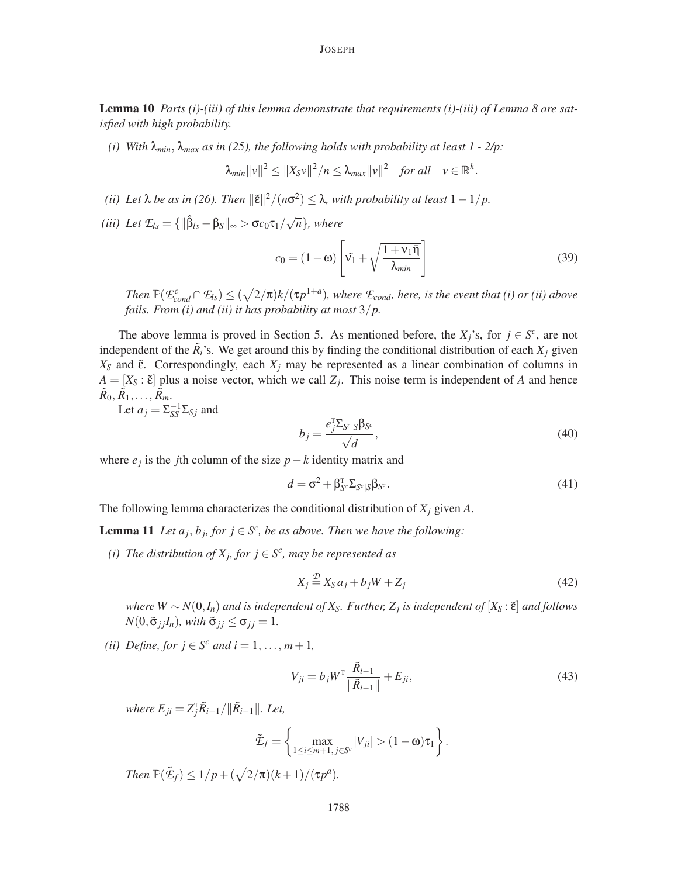Lemma 10 *Parts (i)-(iii) of this lemma demonstrate that requirements (i)-(iii) of Lemma 8 are satisfied with high probability.*

*(i) With* λ*min*, λ*max as in (25), the following holds with probability at least 1 - 2/p:*

$$
\lambda_{min} ||v||^2 \leq ||X_S v||^2 / n \leq \lambda_{max} ||v||^2 \quad \text{for all} \quad v \in \mathbb{R}^k.
$$

- $(iii)$  Let  $\lambda$  be as in (26). Then  $\|\tilde{\varepsilon}\|^2/(n\sigma^2) \leq \lambda$ , with probability at least  $1-1/p$ .
- *(iii)* Let  $\mathcal{L}_{ls} = {\left\{\|\hat{\beta}_{ls} \beta_{S}\|_{\infty} > \sigma c_0 \tau_1 / \sqrt{n}\right\}},$  where

$$
c_0 = (1 - \omega) \left[ \tilde{v_1} + \sqrt{\frac{1 + v_1 \bar{\eta}}{\lambda_{\min}}} \right]
$$
 (39)

*Then*  $\mathbb{P}(\mathcal{E}_{cond}^c \cap \mathcal{E}_{ls}) \leq (\sqrt{2/\pi})k/(\tau p^{1+a})$ *, where*  $\mathcal{E}_{cond}$ *, here, is the event that (i) or (ii) above fails. From (i) and (ii) it has probability at most* 3/*p.*

The above lemma is proved in Section 5. As mentioned before, the  $X_j$ 's, for  $j \in S^c$ , are not independent of the  $\tilde{R}_i$ 's. We get around this by finding the conditional distribution of each  $X_j$  given  $X_S$  and  $\tilde{\epsilon}$ . Correspondingly, each  $X_j$  may be represented as a linear combination of columns in  $A = [X_S : \tilde{\epsilon}]$  plus a noise vector, which we call  $Z_j$ . This noise term is independent of *A* and hence  $\tilde{R}_0, \tilde{R}_1, \ldots, \tilde{R}_m$ 

Let  $a_j = \sum_{SS}^{-1} \sum_{Sj}$  and

$$
b_j = \frac{e_j^{\mathrm{T}} \Sigma_{S^c | S} \beta_{S^c}}{\sqrt{d}},\tag{40}
$$

where  $e_j$  is the *j*th column of the size  $p - k$  identity matrix and

$$
d = \sigma^2 + \beta_{S^c}^{\mathrm{T}} \Sigma_{S^c | S} \beta_{S^c}.
$$
\n(41)

The following lemma characterizes the conditional distribution of *X<sup>j</sup>* given *A*.

**Lemma 11** Let  $a_j$ ,  $b_j$ , for  $j \in S^c$ , be as above. Then we have the following:

*(i)* The distribution of  $X_j$ , for  $j \in S^c$ , may be represented as

$$
X_j \stackrel{\mathcal{D}}{=} X_S a_j + b_j W + Z_j \tag{42}
$$

 $W \sim N(0, I_n)$  *and is independent of*  $X_s$ *. Further,*  $Z_j$  *is independent of*  $[X_s : \tilde{\epsilon}]$  *and follows*  $N(0, \tilde{\sigma}_{i}$ <sub>*i*</sub> $I_n)$ *, with*  $\tilde{\sigma}_{i} \leq \sigma_{i} = 1$ *.* 

*(ii) Define, for*  $j \in S^c$  *and*  $i = 1, ..., m + 1$ *,* 

$$
V_{ji} = b_j W^{\rm T} \frac{\tilde{R}_{i-1}}{\|\tilde{R}_{i-1}\|} + E_{ji},\tag{43}
$$

*where*  $E_{ji} = Z_j^{\text{T}} \tilde{R}_{i-1} / ||\tilde{R}_{i-1}||$ *. Let,* 

$$
\tilde{\mathcal{L}}_f = \left\{ \max_{1 \le i \le m+1, j \in S^c} |V_{ji}| > (1 - \omega) \tau_1 \right\}.
$$

*Then*  $\mathbb{P}(\tilde{\mathcal{E}}_f) \leq 1/p + (\sqrt{2/\pi})(k+1)/(\tau p^a)$ .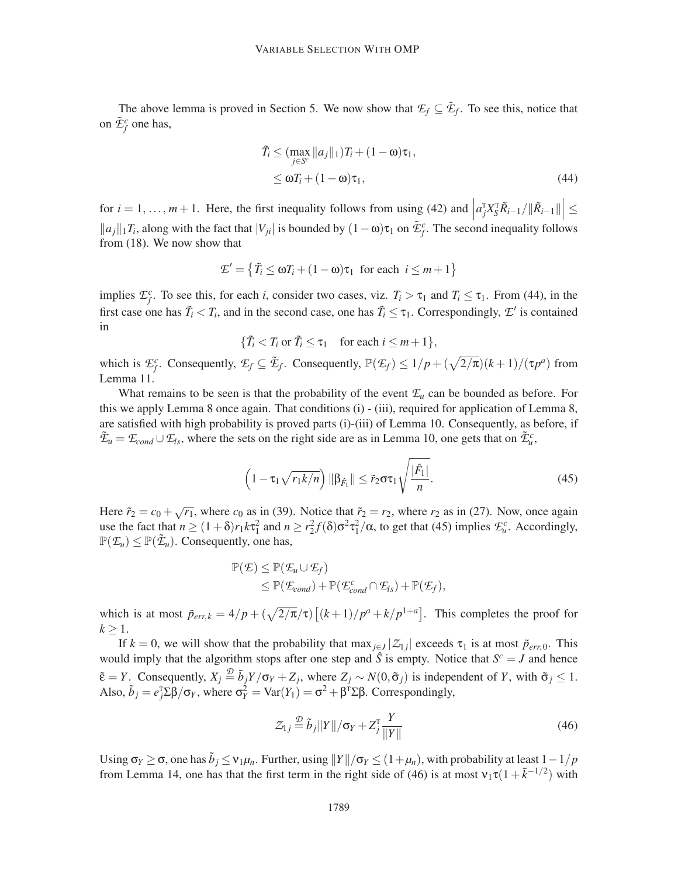The above lemma is proved in Section 5. We now show that  $\mathcal{I}_f \subseteq \tilde{\mathcal{I}}_f$ . To see this, notice that on  $\tilde{\mathcal{E}}_f^c$  one has,

$$
\tilde{T}_i \leq (\max_{j \in S^c} ||a_j||_1) T_i + (1 - \omega)\tau_1,
$$
\n
$$
\leq \omega T_i + (1 - \omega)\tau_1,
$$
\n(44)

for  $i = 1, ..., m + 1$ . Here, the first inequality follows from using (42) and  $\Big|$  $\left|a_{j}^{\text{T}}X_{S}^{\text{T}}\tilde{R}_{i-1}/\|\tilde{R}_{i-1}\|\right|\leq$  $||a_j||_1T_i$ , along with the fact that  $|V_{ji}|$  is bounded by  $(1 − ω)\tau_1$  on  $\tilde{\mathcal{L}}_f^c$ . The second inequality follows from (18). We now show that

$$
\mathcal{L}' = \left\{ \tilde{T}_i \leq \omega T_i + (1 - \omega)\tau_1 \text{ for each } i \leq m + 1 \right\}
$$

implies  $\mathcal{E}_f^c$ . To see this, for each *i*, consider two cases, viz.  $T_i > \tau_1$  and  $T_i \leq \tau_1$ . From (44), in the first case one has  $\tilde{T}_i < T_i$ , and in the second case, one has  $\tilde{T}_i \leq \tau_1$ . Correspondingly,  $\mathcal{L}'$  is contained in

$$
\{\tilde{T}_i < T_i \text{ or } \tilde{T}_i \le \tau_1 \quad \text{for each } i \le m+1\},
$$

which is  $\mathcal{E}_f^c$ . Consequently,  $\mathcal{E}_f \subseteq \tilde{\mathcal{E}}_f$ . Consequently,  $\mathbb{P}(\mathcal{E}_f) \leq 1/p + (\sqrt{2/\pi})(k+1)/(\tau p^a)$  from Lemma 11.

What remains to be seen is that the probability of the event  $\mathcal{L}_u$  can be bounded as before. For this we apply Lemma 8 once again. That conditions (i) - (iii), required for application of Lemma 8, are satisfied with high probability is proved parts (i)-(iii) of Lemma 10. Consequently, as before, if  $\tilde{\mathcal{L}}_u = \mathcal{L}_{cond} \cup \mathcal{L}_l$ , where the sets on the right side are as in Lemma 10, one gets that on  $\tilde{\mathcal{L}}_u^c$ ,

$$
\left(1 - \tau_1 \sqrt{r_1 k/n}\right) \|\beta_{\hat{F}_1}\| \leq \tilde{r}_2 \sigma \tau_1 \sqrt{\frac{|\hat{F}_1|}{n}}.\tag{45}
$$

Here  $\tilde{r}_2 = c_0 + \sqrt{r_1}$ , where  $c_0$  as in (39). Notice that  $\tilde{r}_2 = r_2$ , where  $r_2$  as in (27). Now, once again use the fact that  $n \ge (1+\delta)r_1k\tau_1^2$  and  $n \ge r_2^2f(\delta)\sigma^2\tau_1^2/\alpha$ , to get that (45) implies  $\mathcal{L}_u^c$ . Accordingly,  $\mathbb{P}(\mathcal{F}_u) \leq \mathbb{P}(\tilde{\mathcal{F}}_u)$ . Consequently, one has,

$$
\mathbb{P}(\mathcal{E}) \leq \mathbb{P}(\mathcal{E}_u \cup \mathcal{E}_f) \leq \mathbb{P}(\mathcal{E}_{cond}) + \mathbb{P}(\mathcal{E}_{cond}^c \cap \mathcal{E}_{ls}) + \mathbb{P}(\mathcal{E}_f),
$$

which is at most  $\tilde{p}_{err,k} = 4/p + (\sqrt{2/\pi}/\tau) [(k+1)/p^a + k/p^{1+a}]$ . This completes the proof for  $k \geq 1$ .

If  $k = 0$ , we will show that the probability that  $\max_{j \in J} |Z_{1j}|$  exceeds  $\tau_1$  is at most  $\tilde{p}_{err,0}$ . This would imply that the algorithm stops after one step and  $\hat{S}$  is empty. Notice that  $S^c = J$  and hence  $\tilde{\epsilon} = Y$ . Consequently,  $X_j \stackrel{\mathcal{D}}{=} \tilde{b}_j Y/\sigma_Y + Z_j$ , where  $Z_j \sim N(0, \tilde{\sigma}_j)$  is independent of *Y*, with  $\tilde{\sigma}_j \leq 1$ . Also,  $\tilde{b}_j = e_j^{\text{T}} \Sigma \beta / \sigma_Y$ , where  $\sigma_Y^2 = \text{Var}(Y_1) = \sigma^2 + \beta^{\text{T}} \Sigma \beta$ . Correspondingly,

$$
\mathcal{Z}_{1j} \stackrel{\mathcal{D}}{=} \tilde{b}_j \| Y \| / \sigma_Y + Z_j^{\mathrm{T}} \frac{Y}{\| Y \|}
$$
\n(46)

Using  $\sigma_Y \ge \sigma$ , one has  $\tilde{b}_j \le \nu_1 \mu_n$ . Further, using  $||Y||/\sigma_Y \le (1+\mu_n)$ , with probability at least  $1-1/p$ from Lemma 14, one has that the first term in the right side of (46) is at most  $v_1 \tau (1 + \bar{k}^{-1/2})$  with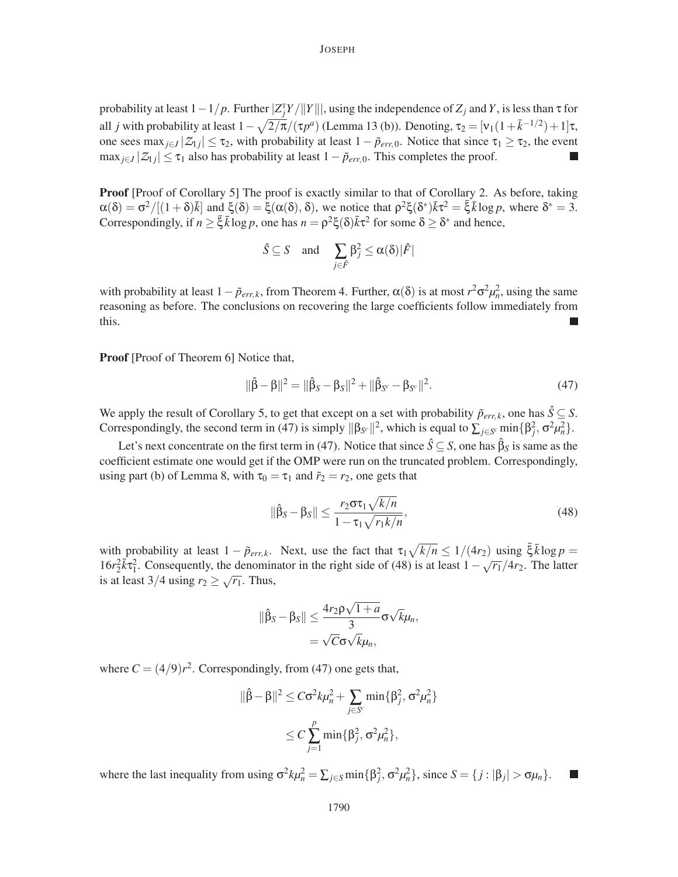probability at least  $1 - 1/p$ . Further  $|Z_j^T Y/||Y|||$ , using the independence of  $Z_j$  and  $Y$ , is less than  $\tau$  for all *j* with probability at least  $1 - \sqrt{\frac{2}{\pi}}$ /(τ*p<sup>a</sup>*) (Lemma 13 (b)). Denoting, τ<sub>2</sub> = [ν<sub>1</sub>(1+ $\bar{k}$ <sup>-1/2</sup>)+1]τ, one sees  $\max_{j\in J} |Z_{1j}| \leq \tau_2$ , with probability at least  $1-\tilde{p}_{err,0}$ . Notice that since  $\tau_1 \geq \tau_2$ , the event  $\max_{j\in J} |Z_{1j}| \leq \tau_1$  also has probability at least  $1-\tilde{p}_{err,0}$ . This completes the proof.

**Proof** [Proof of Corollary 5] The proof is exactly similar to that of Corollary 2. As before, taking  $\alpha(\delta) = \sigma^2/[(1+\delta)\bar{k}]$  and  $\xi(\delta) = \xi(\alpha(\delta), \delta)$ , we notice that  $\rho^2 \xi(\delta^*) \bar{k} \tau^2 = \bar{\xi} \bar{k} \log p$ , where  $\delta^* = 3$ . Correspondingly, if  $n \ge \bar{\xi} \bar{k} \log p$ , one has  $n = \rho^2 \xi(\delta) \bar{k} \tau^2$  for some  $\delta \ge \delta^*$  and hence,

$$
\hat{S} \subseteq S
$$
 and  $\sum_{j \in \hat{F}} \beta_j^2 \leq \alpha(\delta) |\hat{F}|$ 

with probability at least  $1 - \tilde{p}_{err,k}$ , from Theorem 4. Further,  $\alpha(\delta)$  is at most  $r^2 \sigma^2 \mu_n^2$ , using the same reasoning as before. The conclusions on recovering the large coefficients follow immediately from this.

Proof [Proof of Theorem 6] Notice that,

$$
\|\hat{\beta} - \beta\|^2 = \|\hat{\beta}_S - \beta_S\|^2 + \|\hat{\beta}_{S^c} - \beta_{S^c}\|^2.
$$
 (47)

We apply the result of Corollary 5, to get that except on a set with probability  $\tilde{p}_{err,k}$ , one has  $\hat{S} \subseteq S$ . Correspondingly, the second term in (47) is simply  $\|\beta_{S^c}\|^2$ , which is equal to  $\sum_{j \in S^c} \min\{\beta_j^2, \sigma^2 \mu_n^2\}$ .

Let's next concentrate on the first term in (47). Notice that since  $\hat{S} \subseteq S$ , one has  $\hat{\beta}_S$  is same as the coefficient estimate one would get if the OMP were run on the truncated problem. Correspondingly, using part (b) of Lemma 8, with  $\tau_0 = \tau_1$  and  $\tilde{r}_2 = r_2$ , one gets that

$$
\|\hat{\beta}_S - \beta_S\| \le \frac{r_2 \sigma \tau_1 \sqrt{k/n}}{1 - \tau_1 \sqrt{r_1 k/n}},\tag{48}
$$

with probability at least  $1 - \tilde{p}_{err,k}$ . Next, use the fact that  $\tau_1 \sqrt{k/n} \leq 1/(4r_2)$  using  $\bar{\xi} \bar{k} \log p =$  $16r_2^2\bar{k}\tau_1^2$ . Consequently, the denominator in the right side of (48) is at least  $1-\sqrt{r_1}/4r_2$ . The latter is at least  $3/4$  using  $r_2 \ge \sqrt{r_1}$ . Thus,

$$
\|\hat{\beta}_S - \beta_S\| \leq \frac{4r_2\rho\sqrt{1+a}}{3}\sigma\sqrt{k}\mu_n,
$$
  
=  $\sqrt{C}\sigma\sqrt{k}\mu_n$ ,

where  $C = (4/9)r^2$ . Correspondingly, from (47) one gets that,

$$
\|\hat{\beta} - \beta\|^2 \le C\sigma^2 k \mu_n^2 + \sum_{j \in S^c} \min\{\beta_j^2, \sigma^2 \mu_n^2\}
$$
  

$$
\le C \sum_{j=1}^p \min\{\beta_j^2, \sigma^2 \mu_n^2\},
$$

where the last inequality from using  $\sigma^2 k \mu_n^2 = \sum_{j \in S} \min\{\beta_j^2, \sigma^2 \mu_n^2\}$ , since  $S = \{j : |\beta_j| > \sigma \mu_n\}$ .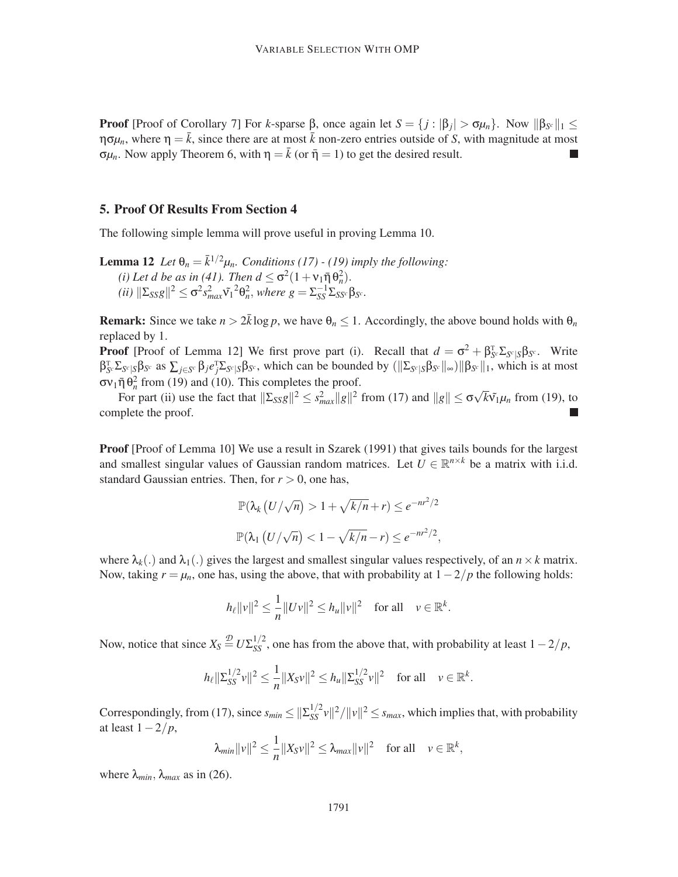**Proof** [Proof of Corollary 7] For *k*-sparse  $\beta$ , once again let  $S = \{j : |\beta_j| > \sigma \mu_n\}$ . Now  $||\beta_{S^c}||_1 \leq$  $\eta \sigma \mu_n$ , where  $\eta = \bar{k}$ , since there are at most  $\bar{k}$  non-zero entries outside of *S*, with magnitude at most  $\sigma \mu_n$ . Now apply Theorem 6, with  $\eta = \bar{k}$  (or  $\bar{\eta} = 1$ ) to get the desired result.

## 5. Proof Of Results From Section 4

The following simple lemma will prove useful in proving Lemma 10.

**Lemma 12** *Let*  $\theta_n = \bar{k}^{1/2}\mu_n$ *. Conditions (17) - (19) imply the following:* (*i*) Let d be as in (41). Then  $d \leq \sigma^2(1 + v_1 \bar{\eta} \theta_n^2)$ .  $(iii)$   $\|\Sigma_{SS}g\|^2 \leq \sigma^2 s_{max}^2 \tilde{v}_1^2 \theta_n^2$ , where  $g = \Sigma_{SS}^{-1} \Sigma_{SS^c} \beta_{S^c}$ .

**Remark:** Since we take  $n > 2\bar{k} \log p$ , we have  $\theta_n \leq 1$ . Accordingly, the above bound holds with  $\theta_n$ replaced by 1.

**Proof** [Proof of Lemma 12] We first prove part (i). Recall that  $d = \sigma^2 + \beta_{S^c}^T \Sigma_{S^c} S_{S^c} \beta_{S^c}$ . Write  $\beta_{S^c}^T \Sigma_{S^c | S} \beta_{S^c}$  as  $\sum_{j \in S^c} \beta_j e_j^T \Sigma_{S^c | S} \beta_{S^c}$ , which can be bounded by  $(\|\Sigma_{S^c | S} \beta_{S^c} \|_{\infty}) \|\beta_{S^c} \|_1$ , which is at most  $\sigma v_1 \bar{\eta} \, \theta_n^2$  from (19) and (10). This completes the proof.

For part (ii) use the fact that  $\|\Sigma_{SS}g\|^2 \leq s_{max}^2 \|g\|^2$  from (17) and  $\|g\| \leq \sigma \sqrt{k} \tilde{v_1} \mu_n$  from (19), to complete the proof.

Proof [Proof of Lemma 10] We use a result in Szarek (1991) that gives tails bounds for the largest and smallest singular values of Gaussian random matrices. Let  $U \in \mathbb{R}^{n \times k}$  be a matrix with i.i.d. standard Gaussian entries. Then, for  $r > 0$ , one has,

$$
\mathbb{P}(\lambda_k (U/\sqrt{n}) > 1 + \sqrt{k/n} + r) \le e^{-nr^2/2}
$$
  

$$
\mathbb{P}(\lambda_1 (U/\sqrt{n}) < 1 - \sqrt{k/n} - r) \le e^{-nr^2/2},
$$

where  $\lambda_k(.)$  and  $\lambda_1(.)$  gives the largest and smallest singular values respectively, of an  $n \times k$  matrix. Now, taking  $r = \mu_n$ , one has, using the above, that with probability at  $1 - 2/p$  the following holds:

$$
h_{\ell}||v||^2 \leq \frac{1}{n}||Uv||^2 \leq h_{\mu}||v||^2 \quad \text{for all} \quad v \in \mathbb{R}^k.
$$

Now, notice that since  $X_S \stackrel{\mathcal{D}}{=} U \Sigma_{SS}^{1/2}$ , one has from the above that, with probability at least  $1-2/p$ ,

$$
h_{\ell} \|\Sigma_{SS}^{1/2} \nu\|^2 \leq \frac{1}{n} \|X_{S} \nu\|^2 \leq h_{\mu} \|\Sigma_{SS}^{1/2} \nu\|^2 \quad \text{for all} \quad \nu \in \mathbb{R}^k.
$$

Correspondingly, from (17), since  $s_{min} \leq ||\sum_{SS}^{1/2} v||^2/||v||^2 \leq s_{max}$ , which implies that, with probability at least 1−2/*p*,

$$
\lambda_{min} ||v||^2 \leq \frac{1}{n} ||X_S v||^2 \leq \lambda_{max} ||v||^2 \quad \text{for all} \quad v \in \mathbb{R}^k,
$$

where  $\lambda_{min}$ ,  $\lambda_{max}$  as in (26).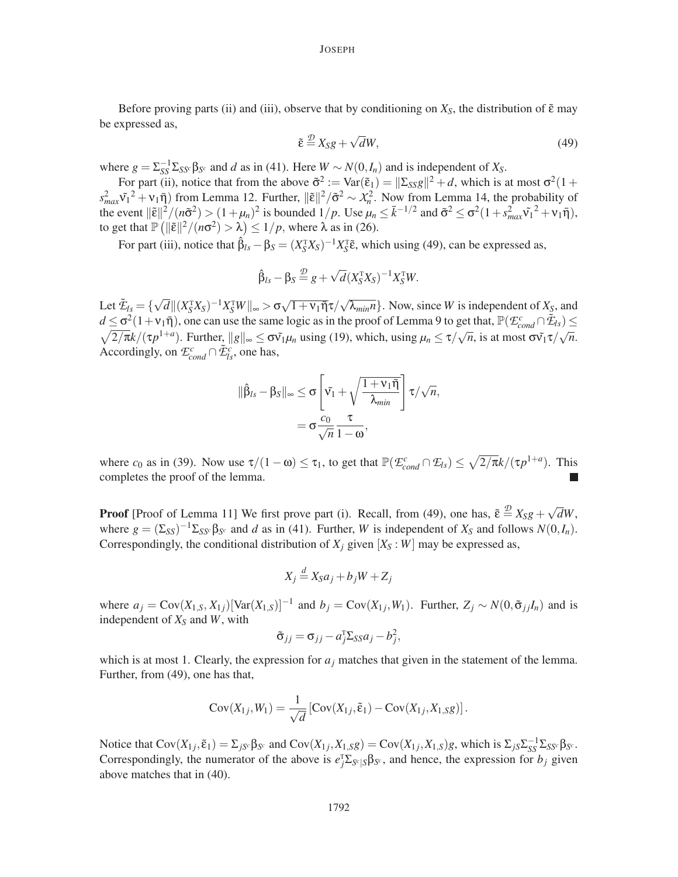Before proving parts (ii) and (iii), observe that by conditioning on  $X<sub>S</sub>$ , the distribution of  $\tilde{\epsilon}$  may be expressed as,

$$
\tilde{\varepsilon} \stackrel{\mathcal{D}}{=} X_S g + \sqrt{d} W,\tag{49}
$$

where  $g = \sum_{SS}^{-1} \sum_{SS} \beta_{S^c}$  and *d* as in (41). Here  $W \sim N(0, I_n)$  and is independent of  $X_S$ .

For part (ii), notice that from the above  $\tilde{\sigma}^2 := \text{Var}(\tilde{\epsilon}_1) = ||\Sigma_{SS}g||^2 + d$ , which is at most  $\sigma^2(1 + \tilde{\epsilon}_2)$  $s_{max}^2 \tilde{v}_1^2 + v_1 \bar{\eta}$ ) from Lemma 12. Further,  $\|\tilde{\varepsilon}\|^2 / \tilde{\sigma}^2 \sim \chi_n^2$ . Now from Lemma 14, the probability of the event  $\|\tilde{\varepsilon}\|^2/(n\tilde{\sigma}^2) > (1 + \mu_n)^2$  is bounded  $1/p$ . Use  $\mu_n \leq \bar{k}^{-1/2}$  and  $\tilde{\sigma}^2 \leq \sigma^2(1 + s_{max}^2 \tilde{v_1}^2 + v_1 \bar{\eta})$ , to get that  $\mathbb{P}\left(\|\tilde{\varepsilon}\|^2/(n\sigma^2) > \lambda\right) \le 1/p$ , where  $\lambda$  as in (26).

For part (iii), notice that  $\hat{\beta}_{ls} - \beta_S = (X_S^T X_S)^{-1} X_S^T \tilde{\epsilon}$ , which using (49), can be expressed as,

$$
\hat{\beta}_{ls} - \beta_S \stackrel{\mathcal{D}}{=} g + \sqrt{d}(X_S^{\mathrm{T}} X_S)^{-1} X_S^{\mathrm{T}} W.
$$

Let  $\tilde{\mathcal{I}}_{\mathcal{I}_{\mathcal{S}}} = {\{\sqrt{d} \mid |(X_{\mathcal{S}}^{T}X_{\mathcal{S}})^{-1}X_{\mathcal{S}}^{T}W \mid \}} \sim \sigma \sqrt{1+\nu_1\bar{\eta}}\tau/\sqrt{\lambda_{min}n}$ . Now, since *W* is independent of  $X_{\mathcal{S}}$ , and  $d \leq \sigma^2(1+\nu_1\bar{\eta})$ , one can use the same logic as in the proof of Lemma 9 to get that,  $\mathbb{P}(\mathcal{E}_{cond}^c \cap \tilde{\mathcal{E}}_{ds}) \leq \sqrt{2/\pi}k/(\tau p^{1+a})$ . Further,  $||g||_{\infty} \leq \sigma\tilde{v}_1\mu_n$  using (19), which, using  $\mu_n \leq \tau/\sqrt{n}$ , is  $\sqrt{2/\pi}k/(\tau p^{1+a})$ . Further,  $||g||_{\infty} \leq \sigma \tilde{v_1} \mu_n$  using (19), which, using  $\mu_n \leq \tau/\sqrt{n}$ , is at most  $\sigma \tilde{v_1} \tau/\sqrt{n}$ . Accordingly, on  $\mathcal{E}_{cond}^c \cap \tilde{\mathcal{E}}_{ls}^c$ , one has,

$$
\|\hat{\beta}_{ls} - \beta_S\|_{\infty} \leq \sigma \left[\tilde{v_1} + \sqrt{\frac{1 + v_1 \bar{\eta}}{\lambda_{min}}}\right] \tau / \sqrt{n},
$$

$$
= \sigma \frac{c_0}{\sqrt{n}} \frac{\tau}{1 - \omega},
$$

where  $c_0$  as in (39). Now use  $\tau/(1-\omega) \le \tau_1$ , to get that  $\mathbb{P}(\mathcal{E}_{cond}^c \cap \mathcal{E}_{ls}) \le \sqrt{\frac{2}{\pi}}k/(\tau p^{1+a})$ . This completes the proof of the lemma.

**Proof** [Proof of Lemma 11] We first prove part (i). Recall, from (49), one has,  $\tilde{\epsilon} \stackrel{\mathcal{D}}{=} X_S g + \sqrt{d}W$ , where  $g = (\Sigma_{SS})^{-1} \Sigma_{SS^c} \beta_{S^c}$  and *d* as in (41). Further, *W* is independent of  $X_S$  and follows  $N(0, I_n)$ . Correspondingly, the conditional distribution of  $X_i$  given  $[X_S : W]$  may be expressed as,

$$
X_j \stackrel{d}{=} X_S a_j + b_j W + Z_j
$$

where  $a_j = \text{Cov}(X_{1,S}, X_{1j})[\text{Var}(X_{1,S})]^{-1}$  and  $b_j = \text{Cov}(X_{1j}, W_1)$ . Further,  $Z_j \sim N(0, \tilde{\sigma}_{jj} I_n)$  and is independent of *X<sup>S</sup>* and *W*, with

$$
\tilde{\sigma}_{jj} = \sigma_{jj} - a_j^{\mathrm{T}} \Sigma_{SS} a_j - b_j^2,
$$

which is at most 1. Clearly, the expression for  $a_j$  matches that given in the statement of the lemma. Further, from (49), one has that,

$$
Cov(X_{1j},W_1) = \frac{1}{\sqrt{d}} \left[ Cov(X_{1j}, \tilde{\varepsilon}_1) - Cov(X_{1j}, X_{1,S}g) \right].
$$

Notice that  $Cov(X_{1j}, \tilde{\epsilon}_1) = \sum_{jS^c} \beta_{S^c}$  and  $Cov(X_{1j}, X_{1,S}g) = Cov(X_{1j}, X_{1,S})g$ , which is  $\sum_{jS} \sum_{SS}^{-1} \sum_{SS^c} \beta_{S^c}$ . Correspondingly, the numerator of the above is  $e_j^T \Sigma_{S^c|S} \beta_{S^c}$ , and hence, the expression for *b<sub>j</sub>* given above matches that in (40).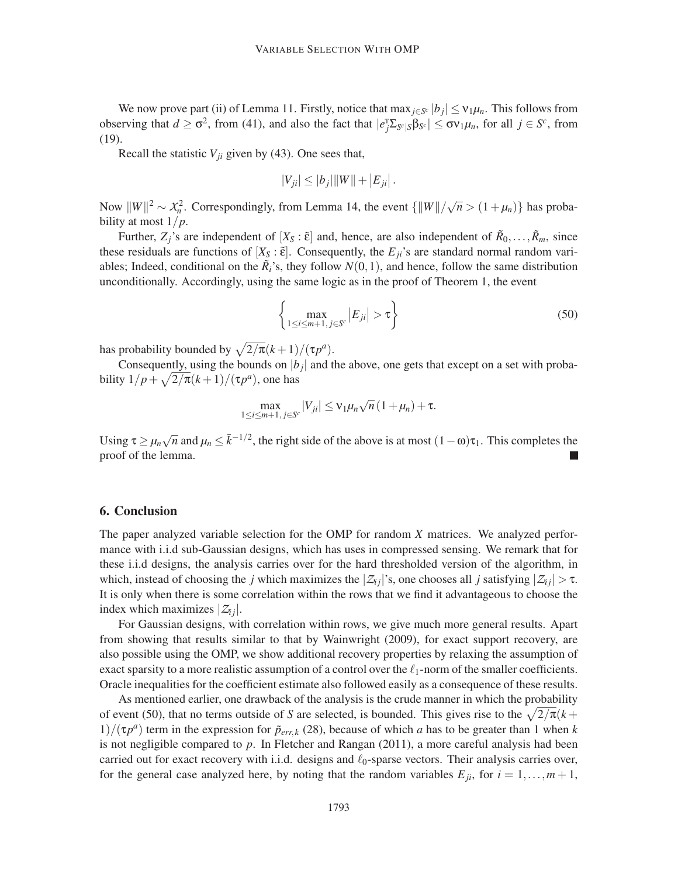We now prove part (ii) of Lemma 11. Firstly, notice that  $\max_{j \in S^c} |b_j| \le v_1 \mu_n$ . This follows from observing that  $d \geq \sigma^2$ , from (41), and also the fact that  $|e_j^T \Sigma_{S^c | S} \beta_{S^c}| \leq \sigma v_1 \mu_n$ , for all  $j \in S^c$ , from (19).

Recall the statistic  $V_{ji}$  given by (43). One sees that,

$$
|V_{ji}|\leq|b_j|\|W\|+\left|E_{ji}\right|.
$$

Now  $||W||^2 \sim \chi_n^2$ . Correspondingly, from Lemma 14, the event  $\{||W||/\sqrt{n} > (1 + \mu_n)\}\$  has probability at most 1/*p*.

Further,  $Z_j$ 's are independent of  $[X_S : \tilde{\epsilon}]$  and, hence, are also independent of  $\tilde{R}_0, \ldots, \tilde{R}_m$ , since these residuals are functions of  $[X<sub>S</sub> : \tilde{\epsilon}]$ . Consequently, the  $E<sub>ji</sub>$ 's are standard normal random variables; Indeed, conditional on the  $\tilde{R}_i$ 's, they follow  $N(0,1)$ , and hence, follow the same distribution unconditionally. Accordingly, using the same logic as in the proof of Theorem 1, the event

$$
\left\{\max_{1\leq i\leq m+1,\,j\in\mathcal{S}^c}|E_{ji}|>\tau\right\}\tag{50}
$$

has probability bounded by  $\sqrt{2/\pi}(k+1)/(\tau p^a)$ .

Consequently, using the bounds on  $|b_j|$  and the above, one gets that except on a set with probability  $1/p + \sqrt{2/\pi}(k+1)/(\tau p^a)$ , one has

$$
\max_{1 \leq i \leq m+1, j \in S^c} |V_{ji}| \leq \nu_1 \mu_n \sqrt{n} (1 + \mu_n) + \tau.
$$

Using  $\tau \ge \mu_n \sqrt{n}$  and  $\mu_n \le \bar{k}^{-1/2}$ , the right side of the above is at most  $(1 - \omega)\tau_1$ . This completes the proof of the lemma.

# 6. Conclusion

The paper analyzed variable selection for the OMP for random *X* matrices. We analyzed performance with i.i.d sub-Gaussian designs, which has uses in compressed sensing. We remark that for these i.i.d designs, the analysis carries over for the hard thresholded version of the algorithm, in which, instead of choosing the *j* which maximizes the  $|Z_i|$ 's, one chooses all *j* satisfying  $|Z_i| > \tau$ . It is only when there is some correlation within the rows that we find it advantageous to choose the index which maximizes  $|Z_{ij}|$ .

For Gaussian designs, with correlation within rows, we give much more general results. Apart from showing that results similar to that by Wainwright (2009), for exact support recovery, are also possible using the OMP, we show additional recovery properties by relaxing the assumption of exact sparsity to a more realistic assumption of a control over the  $\ell_1$ -norm of the smaller coefficients. Oracle inequalities for the coefficient estimate also followed easily as a consequence of these results.

As mentioned earlier, one drawback of the analysis is the crude manner in which the probability of event (50), that no terms outside of *S* are selected, is bounded. This gives rise to the  $\sqrt{2/\pi}(k +$  $1/(\tau p^a)$  term in the expression for  $\tilde{p}_{err,k}$  (28), because of which *a* has to be greater than 1 when *k* is not negligible compared to *p*. In Fletcher and Rangan (2011), a more careful analysis had been carried out for exact recovery with i.i.d. designs and  $\ell_0$ -sparse vectors. Their analysis carries over, for the general case analyzed here, by noting that the random variables  $E_{ji}$ , for  $i = 1, \ldots, m+1$ ,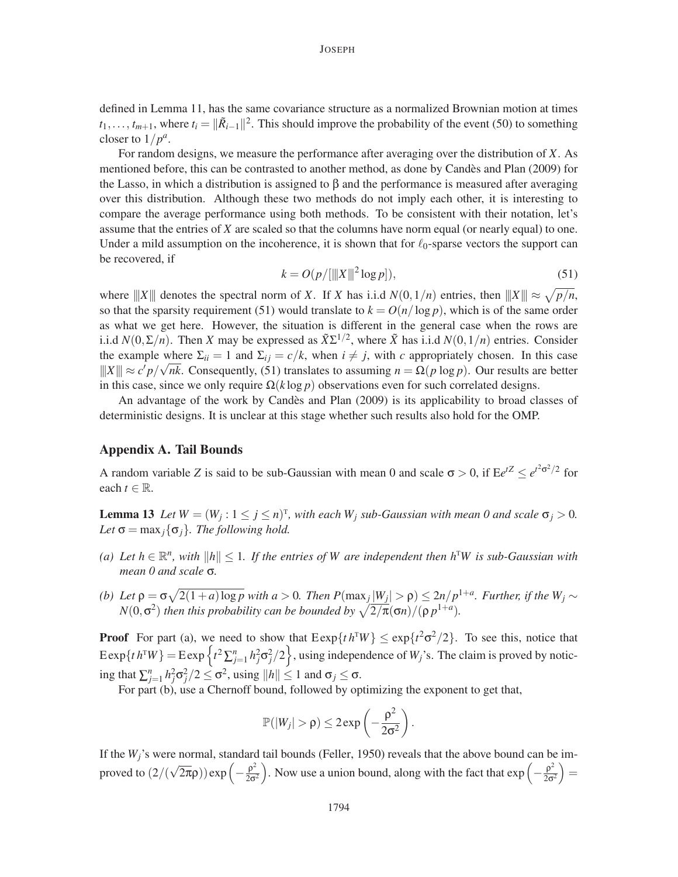defined in Lemma 11, has the same covariance structure as a normalized Brownian motion at times  $t_1, \ldots, t_{m+1}$ , where  $t_i = ||\tilde{R}_{i-1}||^2$ . This should improve the probability of the event (50) to something closer to  $1/p^a$ .

For random designs, we measure the performance after averaging over the distribution of *X*. As mentioned before, this can be contrasted to another method, as done by Candes and Plan (2009) for ` the Lasso, in which a distribution is assigned to  $\beta$  and the performance is measured after averaging over this distribution. Although these two methods do not imply each other, it is interesting to compare the average performance using both methods. To be consistent with their notation, let's assume that the entries of *X* are scaled so that the columns have norm equal (or nearly equal) to one. Under a mild assumption on the incoherence, it is shown that for  $\ell_0$ -sparse vectors the support can be recovered, if

$$
k = O(p/[\|X\|^2 \log p]),
$$
\n(51)

where  $|||X|||$  denotes the spectral norm of *X*. If *X* has i.i.d  $N(0,1/n)$  entries, then  $|||X||| \approx \sqrt{p/n}$ , so that the sparsity requirement (51) would translate to  $k = O(n/\log p)$ , which is of the same order as what we get here. However, the situation is different in the general case when the rows are i.i.d  $N(0, \Sigma/n)$ . Then *X* may be expressed as  $\tilde{X} \Sigma^{1/2}$ , where  $\tilde{X}$  has i.i.d  $N(0,1/n)$  entries. Consider the example where  $\Sigma_{ii} = 1$  and  $\Sigma_{ij} = c/k$ , when  $i \neq j$ , with *c* appropriately chosen. In this case  $||X|| \approx c'p/\sqrt{nk}$ . Consequently, (51) translates to assuming  $n = \Omega(p \log p)$ . Our results are better in this case, since we only require  $\Omega(k \log p)$  observations even for such correlated designs.

An advantage of the work by Candès and Plan (2009) is its applicability to broad classes of deterministic designs. It is unclear at this stage whether such results also hold for the OMP.

## Appendix A. Tail Bounds

A random variable *Z* is said to be sub-Gaussian with mean 0 and scale  $\sigma > 0$ , if  $E e^{tZ} \le e^{t^2 \sigma^2/2}$  for each  $t \in \mathbb{R}$ .

**Lemma 13** Let  $W = (W_j : 1 \le j \le n)^T$ , with each  $W_j$  sub-Gaussian with mean 0 and scale  $\sigma_j > 0$ . *Let*  $\sigma = \max_j {\{\sigma_j\}}$ *. The following hold.* 

- *(a)* Let  $h \in \mathbb{R}^n$ , with  $||h|| \leq 1$ . If the entries of W are independent then  $h^TW$  is sub-Gaussian with *mean 0 and scale* σ*.*
- (b) Let  $\rho = \sigma \sqrt{2(1+a) \log p}$  with  $a > 0$ . Then  $P(\max_j |W_j| > \rho) \leq 2n/p^{1+a}$ . Further, if the  $W_j \sim$  $N(0, \sigma^2)$  *then this probability can be bounded by*  $\sqrt{2/\pi}(\sigma n)/(\rho p^{1+a})$ *.*

**Proof** For part (a), we need to show that  $\text{Exp}\{t h^T W\} \leq \exp\{t^2 \sigma^2/2\}$ . To see this, notice that  $\text{Exp}\{t\} h^{\text{T}}W\} = \text{Exp}\left\{t^2 \sum_{j=1}^n h_j^2 \sigma_j^2/2\right\}$ , using independence of  $W_j$ 's. The claim is proved by noticing that  $\sum_{j=1}^{n} h_j^2 \sigma_j^2 / 2 \le \sigma^2$ , using  $||h|| \le 1$  and  $\sigma_j \le \sigma$ .

For part (b), use a Chernoff bound, followed by optimizing the exponent to get that,

$$
\mathbb{P}(|W_j| > \rho) \leq 2 \exp\left(-\frac{\rho^2}{2\sigma^2}\right).
$$

If the *Wj*'s were normal, standard tail bounds (Feller, 1950) reveals that the above bound can be improved to  $\left(2/(\sqrt{2\pi}\rho)\right)$  exp $\left(-\frac{\rho^2}{2\sigma^2}\right)$  $\frac{\rho^2}{2\sigma^2}$ ). Now use a union bound, along with the fact that  $\exp\left(-\frac{\rho^2}{2\sigma^2}\right)$  $\frac{\rho^2}{2\sigma^2}\Big) =$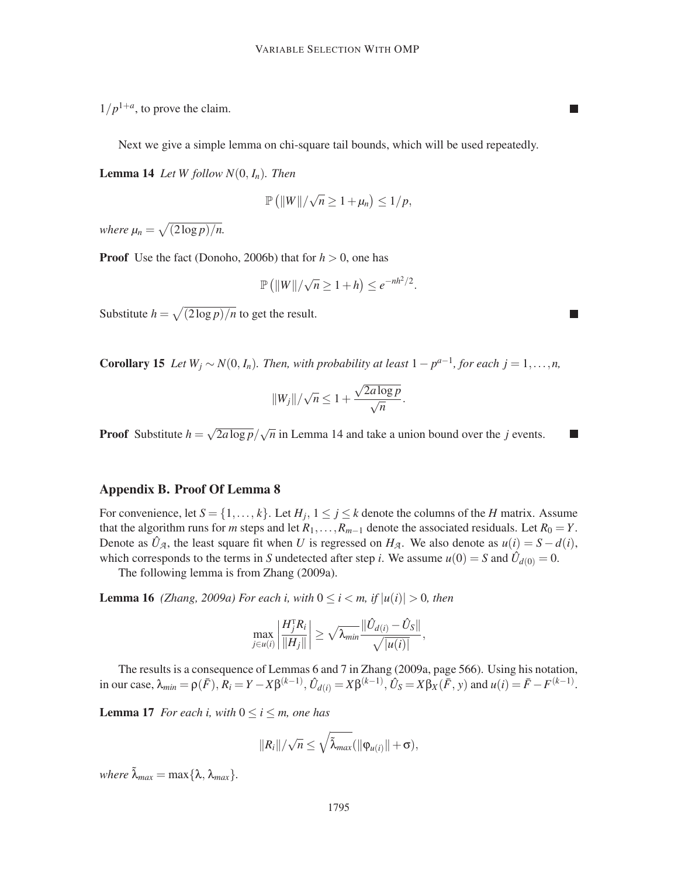$\overline{\phantom{a}}$ 

 $1/p^{1+a}$ , to prove the claim.

Next we give a simple lemma on chi-square tail bounds, which will be used repeatedly.

**Lemma 14** *Let W* follow  $N(0, I_n)$ *. Then* 

$$
\mathbb{P}\left(\|W\|/\sqrt{n}\geq 1+\mu_n\right)\leq 1/p,
$$

*where*  $\mu_n = \sqrt{(2 \log p)/n}$ .

**Proof** Use the fact (Donoho, 2006b) that for  $h > 0$ , one has

$$
\mathbb{P}\left(\|W\|/\sqrt{n}\geq 1+h\right)\leq e^{-nh^2/2}.
$$

Substitute  $h = \sqrt{(2 \log p)/n}$  to get the result.

**Corollary 15** *Let*  $W_j \sim N(0, I_n)$ *. Then, with probability at least*  $1 - p^{a-1}$ *, for each*  $j = 1, ..., n$ *,* 

$$
||W_j||/\sqrt{n} \leq 1 + \frac{\sqrt{2a\log p}}{\sqrt{n}}.
$$

**Proof** Substitute  $h = \sqrt{2a \log p}/\sqrt{n}$  in Lemma 14 and take a union bound over the *j* events.

## Appendix B. Proof Of Lemma 8

For convenience, let  $S = \{1, \ldots, k\}$ . Let  $H_j$ ,  $1 \le j \le k$  denote the columns of the *H* matrix. Assume that the algorithm runs for *m* steps and let  $R_1, \ldots, R_{m-1}$  denote the associated residuals. Let  $R_0 = Y$ . Denote as  $\hat{U}_A$ , the least square fit when *U* is regressed on  $H_A$ . We also denote as  $u(i) = S - d(i)$ , which corresponds to the terms in *S* undetected after step *i*. We assume  $u(0) = S$  and  $\hat{U}_{d(0)} = 0$ .

The following lemma is from Zhang (2009a).

**Lemma 16** *(Zhang, 2009a) For each i, with*  $0 \le i \le m$ , if  $|u(i)| > 0$ , then

$$
\max_{j\in u(i)}\left|\frac{H_j^{\mathrm{T}} R_i}{\|H_j\|}\right| \geq \sqrt{\lambda_{min}} \frac{\|\hat{U}_{d(i)} - \hat{U}_S\|}{\sqrt{|u(i)|}},
$$

The results is a consequence of Lemmas 6 and 7 in Zhang (2009a, page 566). Using his notation, in our case,  $\lambda_{min} = \rho(\bar{F}), R_i = Y - X\beta^{(k-1)}, \hat{U}_{d(i)} = X\beta^{(k-1)}, \hat{U}_S = X\beta_X(\bar{F}, y)$  and  $u(i) = \bar{F} - F^{(k-1)}$ .

**Lemma 17** *For each i, with*  $0 \le i \le m$ *, one has* 

$$
||R_i||/\sqrt{n} \leq \sqrt{\tilde{\lambda}_{max}}(||\varphi_{u(i)}|| + \sigma),
$$

 $where \tilde{\lambda}_{max} = \max\{\lambda, \lambda_{max}\}.$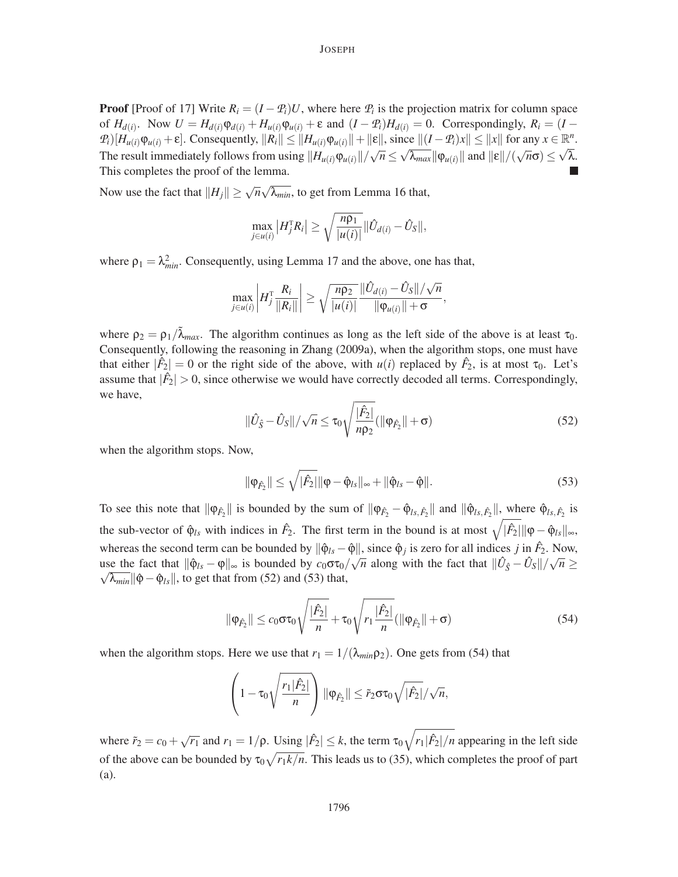**Proof** [Proof of 17] Write  $R_i = (I - P_i)U$ , where here  $P_i$  is the projection matrix for column space of  $H_{d(i)}$ . Now  $U = H_{d(i)}\varphi_{d(i)} + H_{u(i)}\varphi_{u(i)} + \varepsilon$  and  $(I - \mathcal{P}_i)H_{d(i)} = 0$ . Correspondingly,  $R_i = (I - \varphi_i)H_{d(i)}$  $\mathcal{P}_i[H_{u(i)}\varphi_{u(i)} + \varepsilon]$ . Consequently,  $||R_i|| \leq ||H_{u(i)}\varphi_{u(i)}|| + ||\varepsilon||$ , since  $||(I - \mathcal{P}_i)x|| \leq ||x||$  for any  $x \in \mathbb{R}^n$ . The result immediately follows from using  $||H_{u(i)}\varphi_{u(i)}||/\sqrt{n} \le \sqrt{\lambda_{max}} ||\varphi_{u(i)}||$  and  $||\varepsilon||/(\sqrt{n}\sigma) \le \sqrt{\lambda}$ . This completes the proof of the lemma.

Now use the fact that  $||H_j|| \ge \sqrt{n}\sqrt{\lambda_{min}}$ , to get from Lemma 16 that,

$$
\max_{j\in u(i)}|H_j^{\mathrm{T}}R_i|\geq \sqrt{\frac{n\rho_1}{|u(i)|}}\|\hat{U}_{d(i)}-\hat{U}_S\|,
$$

where  $\rho_1 = \lambda_{min}^2$ . Consequently, using Lemma 17 and the above, one has that,

$$
\max_{j\in u(i)}\left|H_j^T\frac{R_i}{\|R_i\|}\right|\geq \sqrt{\frac{n\rho_2}{|u(i)|}}\frac{\|\hat{U}_{d(i)} - \hat{U}_S\|/\sqrt{n}}{\|\varphi_{u(i)}\|+\sigma},\,
$$

where  $\rho_2 = \rho_1 / \tilde{\lambda}_{max}$ . The algorithm continues as long as the left side of the above is at least  $\tau_0$ . Consequently, following the reasoning in Zhang (2009a), when the algorithm stops, one must have that either  $|\hat{F}_2| = 0$  or the right side of the above, with  $u(i)$  replaced by  $\hat{F}_2$ , is at most  $\tau_0$ . Let's assume that  $|\hat{F}_2| > 0$ , since otherwise we would have correctly decoded all terms. Correspondingly, we have,

$$
\|\hat{U}_{\hat{S}} - \hat{U}_S\| / \sqrt{n} \le \tau_0 \sqrt{\frac{|\hat{F}_2|}{np_2}} (\|\varphi_{\hat{F}_2}\| + \sigma)
$$
\n(52)

when the algorithm stops. Now,

$$
\|\phi_{\hat{F}_2}\| \le \sqrt{|\hat{F}_2|} \|\phi - \hat{\phi}_{ls}\|_{\infty} + \|\hat{\phi}_{ls} - \hat{\phi}\|.
$$
 (53)

To see this note that  $\|\varphi_{\hat{F}_2}\|$  is bounded by the sum of  $\|\varphi_{\hat{F}_2} - \hat{\varphi}_{ls,\hat{F}_2}\|$  and  $\|\hat{\varphi}_{ls,\hat{F}_2}\|$ , where  $\hat{\varphi}_{ls,\hat{F}_2}$  is the sub-vector of  $\hat{\varphi}_{ls}$  with indices in  $\hat{F}_2$ . The first term in the bound is at most  $\sqrt{|\hat{F}_2|} \|\varphi - \hat{\varphi}_{ls}\|_{\infty}$ , whereas the second term can be bounded by  $\|\hat{\varphi}_{ls} - \hat{\varphi}\|$ , since  $\hat{\varphi}_j$  is zero for all indices *j* in  $\hat{F}_2$ . Now, use the fact that  $\|\hat{\phi}_{ls} - \phi\|_{\infty}$  is bounded by  $c_0 \sigma \tau_0 / \sqrt{n}$  along with the fact that  $\|\hat{U}_{\hat{S}} - \hat{U}_{S}\| / \sqrt{n} \geq$  $\sqrt{\lambda_{min}} ||\hat{\phi} - \hat{\phi}_{ls}||$ , to get that from (52) and (53) that,

$$
\|\varphi_{\hat{F}_2}\| \le c_0 \sigma \tau_0 \sqrt{\frac{|\hat{F}_2|}{n}} + \tau_0 \sqrt{r_1 \frac{|\hat{F}_2|}{n}} (\|\varphi_{\hat{F}_2}\| + \sigma)
$$
(54)

when the algorithm stops. Here we use that  $r_1 = 1/(\lambda_{min} \rho_2)$ . One gets from (54) that

$$
\left(1-\tau_0\sqrt{\frac{r_1|\hat{F}_2|}{n}}\right)\|\varphi_{\hat{F}_2}\| \leq \tilde{r}_2\sigma\tau_0\sqrt{|\hat{F}_2|}/\sqrt{n},
$$

where  $\tilde{r}_2 = c_0 + \sqrt{r_1}$  and  $r_1 = 1/\rho$ . Using  $|\tilde{F}_2| \le k$ , the term  $\tau_0 \sqrt{r_1 |\tilde{F}_2|/n}$  appearing in the left side of the above can be bounded by  $\tau_0 \sqrt{r_1 k/n}$ . This leads us to (35), which completes the proof of part (a).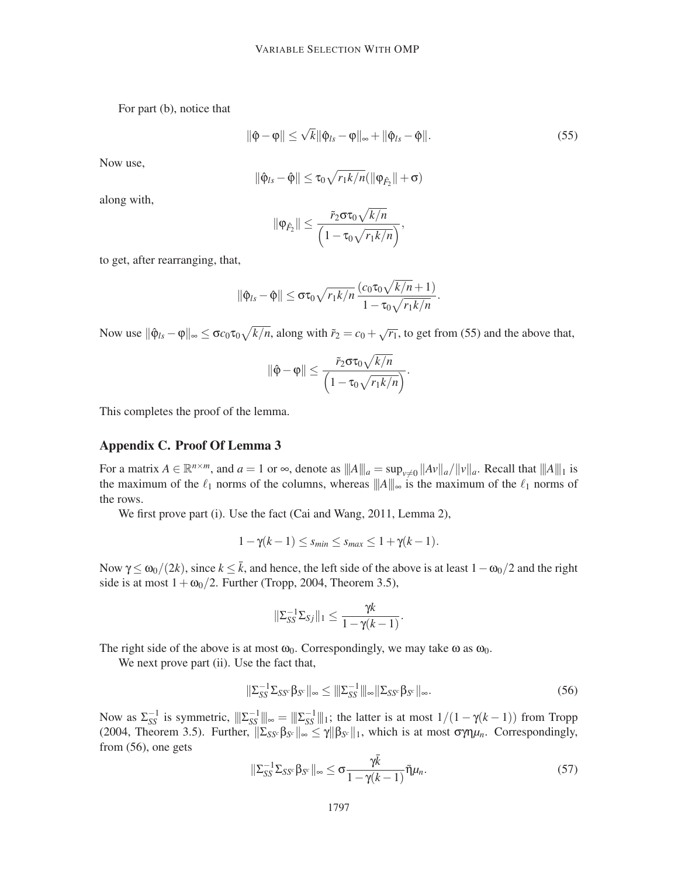For part (b), notice that

$$
\|\hat{\varphi} - \varphi\| \le \sqrt{k} \|\hat{\varphi}_{ls} - \varphi\|_{\infty} + \|\hat{\varphi}_{ls} - \hat{\varphi}\|.
$$
\n(55)

Now use,

$$
\|\hat{\varphi}_{ls} - \hat{\varphi}\| \leq \tau_0 \sqrt{r_1 k/n} (\|\varphi_{\hat{F}_2}\| + \sigma)
$$

along with,

$$
\|\varphi_{\hat{F}_2}\| \leq \frac{\tilde{r}_2 \sigma \tau_0 \sqrt{k/n}}{\left(1 - \tau_0 \sqrt{r_1 k/n}\right)},
$$

to get, after rearranging, that,

$$
\|\hat{\varphi}_{ls}-\hat{\varphi}\| \leq \sigma \tau_0 \sqrt{r_1 k/n} \frac{(c_0 \tau_0 \sqrt{k/n}+1)}{1-\tau_0 \sqrt{r_1 k/n}}.
$$

Now use  $\|\hat{\varphi}_{ls} - \varphi\|_{\infty} \leq \sigma c_0 \tau_0 \sqrt{k/n}$ , along with  $\tilde{r}_2 = c_0 + \sqrt{r_1}$ , to get from (55) and the above that,

$$
\|\hat{\varphi}-\varphi\| \leq \frac{\tilde{r}_2 \sigma \tau_0 \sqrt{k/n}}{\left(1-\tau_0 \sqrt{r_1 k/n}\right)}.
$$

This completes the proof of the lemma.

# Appendix C. Proof Of Lemma 3

For a matrix  $A \in \mathbb{R}^{n \times m}$ , and  $a = 1$  or  $\infty$ , denote as  $|||A|||_a = \sup_{v \neq 0} ||Av||_a / ||v||_a$ . Recall that  $|||A||_1$  is the maximum of the  $\ell_1$  norms of the columns, whereas  $||A||_{\infty}$  is the maximum of the  $\ell_1$  norms of the rows.

We first prove part (i). Use the fact (Cai and Wang, 2011, Lemma 2),

$$
1 - \gamma(k - 1) \leq s_{\min} \leq s_{\max} \leq 1 + \gamma(k - 1).
$$

Now γ ≤  $ω_0/(2k)$ , since  $k \leq \bar{k}$ , and hence, the left side of the above is at least  $1-ω_0/2$  and the right side is at most  $1+\omega_0/2$ . Further (Tropp, 2004, Theorem 3.5),

$$
\|\Sigma_{SS}^{-1}\Sigma_{Sj}\|_1 \leq \frac{\gamma k}{1-\gamma(k-1)}
$$

The right side of the above is at most  $\omega_0$ . Correspondingly, we may take  $\omega$  as  $\omega_0$ .

We next prove part (ii). Use the fact that,

$$
\|\Sigma_{SS}^{-1}\Sigma_{SS^c}\beta_{S^c}\|_{\infty} \le \|\Sigma_{SS}^{-1}\|_{\infty}\|\Sigma_{SS^c}\beta_{S^c}\|_{\infty}.
$$
\n(56)

.

Now as  $\Sigma_{SS}^{-1}$  is symmetric,  $\|\Sigma_{SS}^{-1}\|_{\infty} = \|\Sigma_{SS}^{-1}\|_{1}$ ; the latter is at most  $1/(1 - \gamma(k-1))$  from Tropp (2004, Theorem 3.5). Further,  $\|\Sigma_{SS} \beta_{S^c}\|_{\infty} \leq \gamma \|\beta_{S^c}\|_1$ , which is at most  $\sigma \gamma \eta \mu_n$ . Correspondingly, from (56), one gets

$$
\|\Sigma_{SS}^{-1}\Sigma_{SS^c}\beta_{S^c}\|_{\infty} \leq \sigma \frac{\gamma \bar{k}}{1-\gamma(k-1)}\bar{\eta}\mu_n.
$$
\n(57)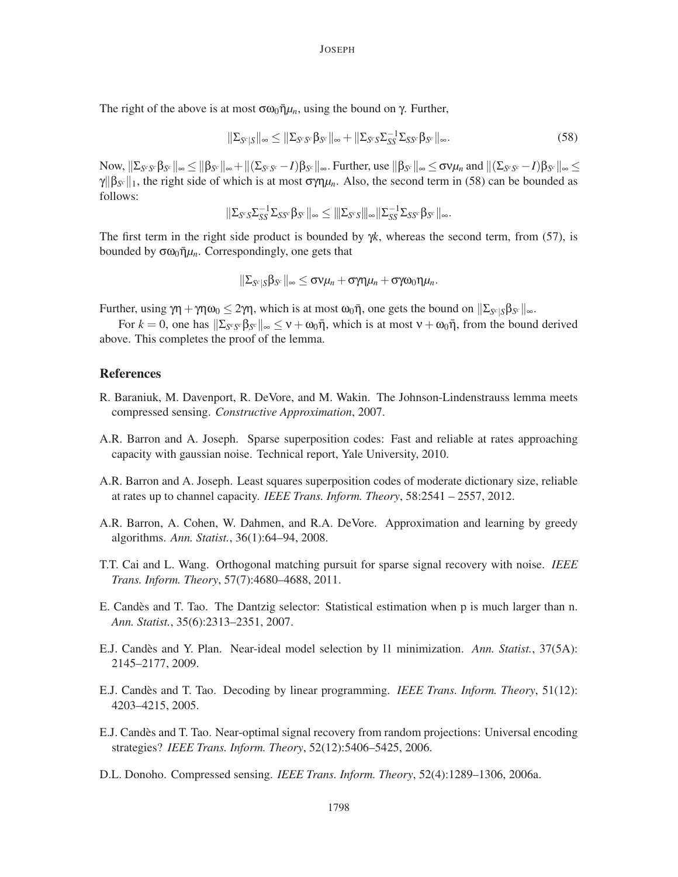The right of the above is at most  $\sigma \omega_0 \bar{\eta} \mu_n$ , using the bound on  $\gamma$ . Further,

$$
\|\Sigma_{S^c|S}\|_{\infty} \le \|\Sigma_{S^c S^c} \beta_{S^c}\|_{\infty} + \|\Sigma_{S^c S} \Sigma_{SS}^{-1} \Sigma_{SS^c} \beta_{S^c}\|_{\infty}.
$$
\n(58)

 $\begin{aligned} &\text{Now,}\ \|\Sigma_{\mathcal{S}^c\mathcal{S}^c}\beta_{\mathcal{S}^c}\|_\infty\leq \|\beta_{\mathcal{S}^c}\|_\infty+\|(\Sigma_{\mathcal{S}^c\mathcal{S}^c}-I)\beta_{\mathcal{S}^c}\|_\infty. \text{ Further, use}\ \|\beta_{\mathcal{S}^c}\|_\infty\leq \sigma\textsf{v}\mu_n\text{ and}\ \|(\Sigma_{\mathcal{S}^c\mathcal{S}^c}-I)\beta_{\mathcal{S}^c}\|_\infty\leq \sigma\textsf{v}\mu_n\text{ and}\ \|\mathcal{S}^c\|_\in$  $\gamma$ ||β<sub>*S<sup>c</sup>*</sub>||<sub>1</sub>, the right side of which is at most σγη $\mu$ <sub>*n*</sub>. Also, the second term in (58) can be bounded as follows:

$$
\|\Sigma_{S^c S}\Sigma_{SS}^{-1}\Sigma_{SS^c}\beta_{S^c}\|_\infty\leq \|\Sigma_{S^c S}\|_\infty\|\Sigma_{SS}^{-1}\Sigma_{SS^c}\beta_{S^c}\|_\infty.
$$

The first term in the right side product is bounded by  $\gamma k$ , whereas the second term, from (57), is bounded by  $\sigma \omega_0 \bar{\eta} \mu_n$ . Correspondingly, one gets that

$$
\|\Sigma_{S^c|S}\beta_{S^c}\|_{\infty}\leq \sigma \nu \mu_n+\sigma\gamma\eta\mu_n+\sigma\gamma\omega_0\eta\mu_n.
$$

*Further, using*  $\gamma$ η + γηω<sub>0</sub> ≤ 2γη, which is at most ω<sub>0</sub>η, one gets the bound on  $\|\Sigma_{S^c|S} \beta_{S^c}\|_{\infty}$ .

For  $k = 0$ , one has  $\|\Sigma_{S^c S^c}\beta_{S^c}\|_{\infty} \le \nu + \omega_0 \bar{\eta}$ , which is at most  $\nu + \omega_0 \bar{\eta}$ , from the bound derived above. This completes the proof of the lemma.

## **References**

- R. Baraniuk, M. Davenport, R. DeVore, and M. Wakin. The Johnson-Lindenstrauss lemma meets compressed sensing. *Constructive Approximation*, 2007.
- A.R. Barron and A. Joseph. Sparse superposition codes: Fast and reliable at rates approaching capacity with gaussian noise. Technical report, Yale University, 2010.
- A.R. Barron and A. Joseph. Least squares superposition codes of moderate dictionary size, reliable at rates up to channel capacity. *IEEE Trans. Inform. Theory*, 58:2541 – 2557, 2012.
- A.R. Barron, A. Cohen, W. Dahmen, and R.A. DeVore. Approximation and learning by greedy algorithms. *Ann. Statist.*, 36(1):64–94, 2008.
- T.T. Cai and L. Wang. Orthogonal matching pursuit for sparse signal recovery with noise. *IEEE Trans. Inform. Theory*, 57(7):4680–4688, 2011.
- E. Candès and T. Tao. The Dantzig selector: Statistical estimation when p is much larger than n. *Ann. Statist.*, 35(6):2313–2351, 2007.
- E.J. Candès and Y. Plan. Near-ideal model selection by 11 minimization. Ann. Statist., 37(5A): 2145–2177, 2009.
- E.J. Candes and T. Tao. Decoding by linear programming. ` *IEEE Trans. Inform. Theory*, 51(12): 4203–4215, 2005.
- E.J. Candes and T. Tao. Near-optimal signal recovery from random projections: Universal encoding strategies? *IEEE Trans. Inform. Theory*, 52(12):5406–5425, 2006.
- D.L. Donoho. Compressed sensing. *IEEE Trans. Inform. Theory*, 52(4):1289–1306, 2006a.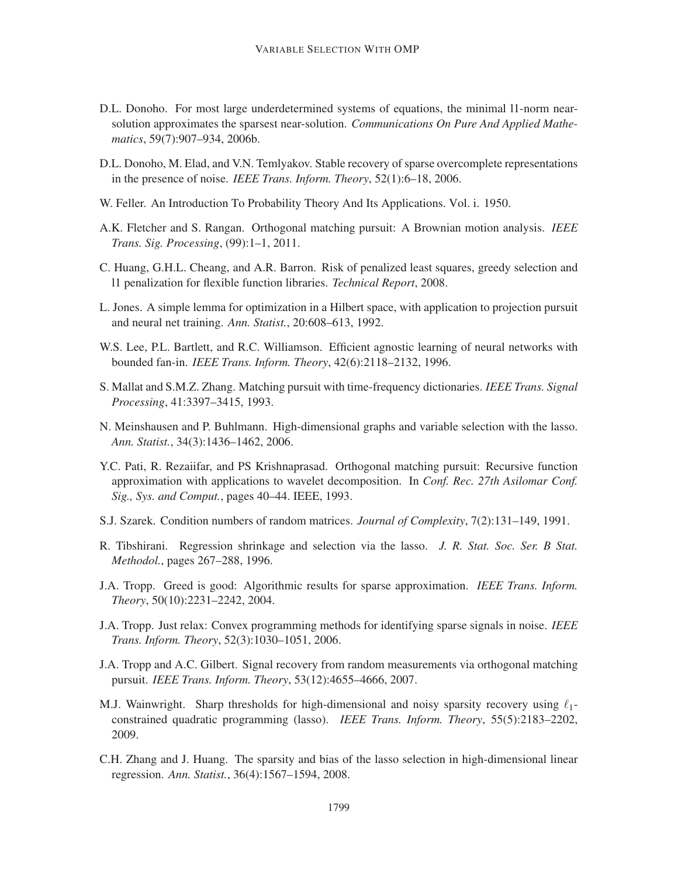- D.L. Donoho. For most large underdetermined systems of equations, the minimal l1-norm nearsolution approximates the sparsest near-solution. *Communications On Pure And Applied Mathematics*, 59(7):907–934, 2006b.
- D.L. Donoho, M. Elad, and V.N. Temlyakov. Stable recovery of sparse overcomplete representations in the presence of noise. *IEEE Trans. Inform. Theory*, 52(1):6–18, 2006.
- W. Feller. An Introduction To Probability Theory And Its Applications. Vol. i. 1950.
- A.K. Fletcher and S. Rangan. Orthogonal matching pursuit: A Brownian motion analysis. *IEEE Trans. Sig. Processing*, (99):1–1, 2011.
- C. Huang, G.H.L. Cheang, and A.R. Barron. Risk of penalized least squares, greedy selection and l1 penalization for flexible function libraries. *Technical Report*, 2008.
- L. Jones. A simple lemma for optimization in a Hilbert space, with application to projection pursuit and neural net training. *Ann. Statist.*, 20:608–613, 1992.
- W.S. Lee, P.L. Bartlett, and R.C. Williamson. Efficient agnostic learning of neural networks with bounded fan-in. *IEEE Trans. Inform. Theory*, 42(6):2118–2132, 1996.
- S. Mallat and S.M.Z. Zhang. Matching pursuit with time-frequency dictionaries. *IEEE Trans. Signal Processing*, 41:3397–3415, 1993.
- N. Meinshausen and P. Buhlmann. High-dimensional graphs and variable selection with the lasso. *Ann. Statist.*, 34(3):1436–1462, 2006.
- Y.C. Pati, R. Rezaiifar, and PS Krishnaprasad. Orthogonal matching pursuit: Recursive function approximation with applications to wavelet decomposition. In *Conf. Rec. 27th Asilomar Conf. Sig., Sys. and Comput.*, pages 40–44. IEEE, 1993.
- S.J. Szarek. Condition numbers of random matrices. *Journal of Complexity*, 7(2):131–149, 1991.
- R. Tibshirani. Regression shrinkage and selection via the lasso. *J. R. Stat. Soc. Ser. B Stat. Methodol.*, pages 267–288, 1996.
- J.A. Tropp. Greed is good: Algorithmic results for sparse approximation. *IEEE Trans. Inform. Theory*, 50(10):2231–2242, 2004.
- J.A. Tropp. Just relax: Convex programming methods for identifying sparse signals in noise. *IEEE Trans. Inform. Theory*, 52(3):1030–1051, 2006.
- J.A. Tropp and A.C. Gilbert. Signal recovery from random measurements via orthogonal matching pursuit. *IEEE Trans. Inform. Theory*, 53(12):4655–4666, 2007.
- M.J. Wainwright. Sharp thresholds for high-dimensional and noisy sparsity recovery using  $\ell_1$ constrained quadratic programming (lasso). *IEEE Trans. Inform. Theory*, 55(5):2183–2202, 2009.
- C.H. Zhang and J. Huang. The sparsity and bias of the lasso selection in high-dimensional linear regression. *Ann. Statist.*, 36(4):1567–1594, 2008.